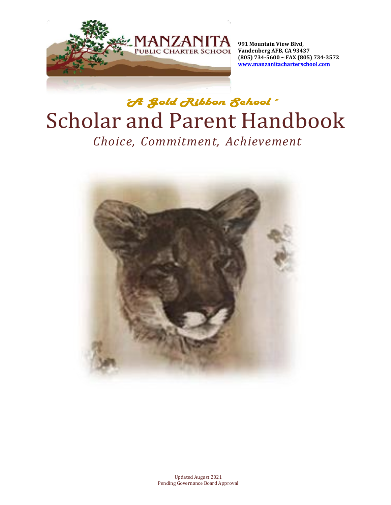

**991 Mountain View Blvd, Vandenberg AFB, CA 93437 (805) 734-5600 ~ FAX (805) 734-3572 [www.manzanitacharterschool.com](http://www.manzanitacharterschool.com/)**

# "*A Gold Ribbon School*" Scholar and Parent Handbook *Choice, Commitment, Achievement*

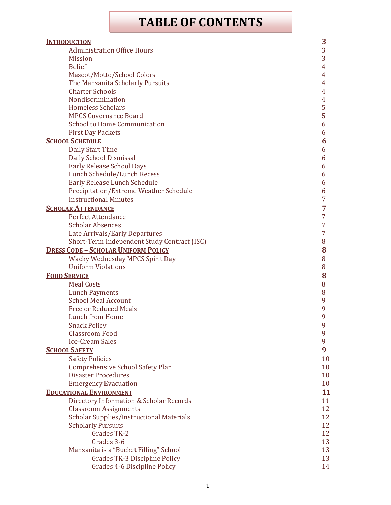## **TABLE OF CONTENTS**

| <b>INTRODUCTION</b>                             | 3  |
|-------------------------------------------------|----|
| <b>Administration Office Hours</b>              | 3  |
| <b>Mission</b>                                  | 3  |
| <b>Belief</b>                                   | 4  |
| Mascot/Motto/School Colors                      | 4  |
| The Manzanita Scholarly Pursuits                | 4  |
| <b>Charter Schools</b>                          | 4  |
| Nondiscrimination                               | 4  |
| <b>Homeless Scholars</b>                        | 5  |
| <b>MPCS Governance Board</b>                    | 5  |
| <b>School to Home Communication</b>             | 6  |
| <b>First Day Packets</b>                        | 6  |
| <b>SCHOOL SCHEDULE</b>                          | 6  |
| <b>Daily Start Time</b>                         | 6  |
| Daily School Dismissal                          | 6  |
| <b>Early Release School Days</b>                | 6  |
| Lunch Schedule/Lunch Recess                     | 6  |
| Early Release Lunch Schedule                    | 6  |
| Precipitation/Extreme Weather Schedule          | 6  |
| <b>Instructional Minutes</b>                    | 7  |
| <b>SCHOLAR ATTENDANCE</b>                       | 7  |
| <b>Perfect Attendance</b>                       | 7  |
| <b>Scholar Absences</b>                         | 7  |
| Late Arrivals/Early Departures                  | 7  |
| Short-Term Independent Study Contract (ISC)     | 8  |
| <b>DRESS CODE - SCHOLAR UNIFORM POLICY</b>      | 8  |
| Wacky Wednesday MPCS Spirit Day                 | 8  |
| <b>Uniform Violations</b>                       | 8  |
| <b>FOOD SERVICE</b>                             | 8  |
| <b>Meal Costs</b>                               | 8  |
| <b>Lunch Payments</b>                           | 8  |
| <b>School Meal Account</b>                      | 9  |
| <b>Free or Reduced Meals</b>                    | 9  |
| Lunch from Home                                 | 9  |
| <b>Snack Policy</b>                             | 9  |
| <b>Classroom Food</b>                           | 9  |
| <b>Ice-Cream Sales</b>                          | 9  |
| <b>SCHOOL SAFETY</b>                            | 9  |
| <b>Safety Policies</b>                          | 10 |
| <b>Comprehensive School Safety Plan</b>         | 10 |
| <b>Disaster Procedures</b>                      | 10 |
| <b>Emergency Evacuation</b>                     | 10 |
| <b>EDUCATIONAL ENVIRONMENT</b>                  | 11 |
| Directory Information & Scholar Records         | 11 |
| <b>Classroom Assignments</b>                    | 12 |
| <b>Scholar Supplies/Instructional Materials</b> | 12 |
| <b>Scholarly Pursuits</b>                       | 12 |
| Grades TK-2                                     | 12 |
| Grades 3-6                                      | 13 |
| Manzanita is a "Bucket Filling" School          | 13 |
| Grades TK-3 Discipline Policy                   | 13 |
| Grades 4-6 Discipline Policy                    | 14 |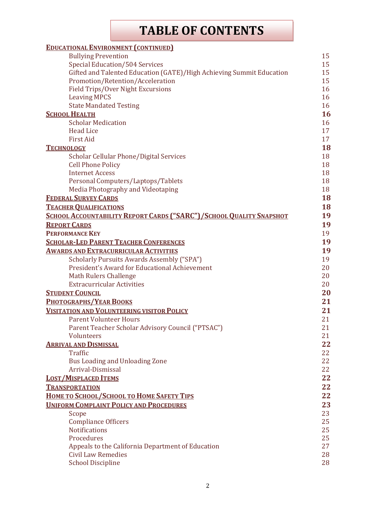## **TABLE OF CONTENTS**

| <b>EDUCATIONAL ENVIRONMENT (CONTINUED)</b>                                     |    |
|--------------------------------------------------------------------------------|----|
| <b>Bullying Prevention</b>                                                     | 15 |
| <b>Special Education/504 Services</b>                                          | 15 |
| Gifted and Talented Education (GATE)/High Achieving Summit Education           | 15 |
| Promotion/Retention/Acceleration                                               | 15 |
| Field Trips/Over Night Excursions                                              | 16 |
| <b>Leaving MPCS</b>                                                            | 16 |
| <b>State Mandated Testing</b>                                                  | 16 |
| <b>SCHOOL HEALTH</b>                                                           | 16 |
| <b>Scholar Medication</b>                                                      | 16 |
| <b>Head Lice</b>                                                               | 17 |
| <b>First Aid</b>                                                               | 17 |
| <b>TECHNOLOGY</b>                                                              | 18 |
| Scholar Cellular Phone/Digital Services                                        | 18 |
| <b>Cell Phone Policy</b>                                                       | 18 |
| <b>Internet Access</b>                                                         | 18 |
| Personal Computers/Laptops/Tablets                                             | 18 |
| Media Photography and Videotaping                                              | 18 |
| <b>FEDERAL SURVEY CARDS</b>                                                    | 18 |
| <b>TEACHER QUALIFICATIONS</b>                                                  | 18 |
| SCHOOL ACCOUNTABILITY REPORT CARDS ("SARC")/SCHOOL QUALITY SNAPSHOT            | 19 |
| <b>REPORT CARDS</b>                                                            | 19 |
| <b>PERFORMANCE KEY</b>                                                         | 19 |
| <b>SCHOLAR-LED PARENT TEACHER CONFERENCES</b>                                  | 19 |
| <u>Awards and Extracurricular Activities</u>                                   | 19 |
| Scholarly Pursuits Awards Assembly ("SPA")                                     | 19 |
| President's Award for Educational Achievement                                  | 20 |
| <b>Math Rulers Challenge</b>                                                   | 20 |
| <b>Extracurricular Activities</b>                                              | 20 |
| <b>STUDENT COUNCIL</b>                                                         | 20 |
| <b>PHOTOGRAPHS/YEAR BOOKS</b>                                                  | 21 |
| <b>VISITATION AND VOLUNTEERING VISITOR POLICY</b>                              | 21 |
| <b>Parent Volunteer Hours</b>                                                  | 21 |
| Parent Teacher Scholar Advisory Council ("PTSAC")                              | 21 |
| Volunteers                                                                     | 21 |
| <b>ARRIVAL AND DISMISSAL</b>                                                   | 22 |
| Traffic                                                                        | 22 |
| Bus Loading and Unloading Zone                                                 | 22 |
| Arrival-Dismissal                                                              | 22 |
| <b>LOST/MISPLACED ITEMS</b>                                                    | 22 |
| <b>TRANSPORTATION</b>                                                          | 22 |
|                                                                                | 22 |
| HOME TO SCHOOL/SCHOOL TO HOME SAFETY TIPS                                      |    |
| <b>UNIFORM COMPLAINT POLICY AND PROCEDURES</b>                                 | 23 |
| Scope                                                                          | 23 |
| <b>Compliance Officers</b>                                                     | 25 |
| <b>Notifications</b>                                                           | 25 |
| Procedures                                                                     | 25 |
| Appeals to the California Department of Education<br><b>Civil Law Remedies</b> | 27 |
|                                                                                | 28 |
| <b>School Discipline</b>                                                       | 28 |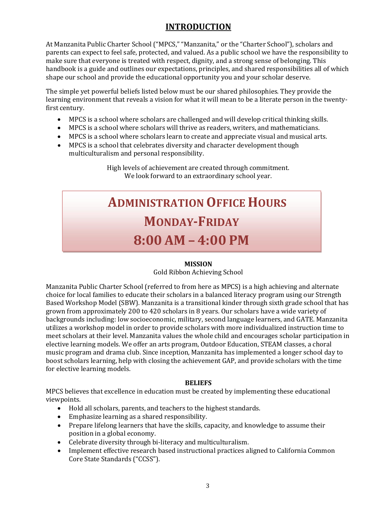## **INTRODUCTION**

<span id="page-3-0"></span>At Manzanita Public Charter School ("MPCS," "Manzanita," or the "Charter School"), scholars and parents can expect to feel safe, protected, and valued. As a public school we have the responsibility to make sure that everyone is treated with respect, dignity, and a strong sense of belonging. This handbook is a guide and outlines our expectations, principles, and shared responsibilities all of which shape our school and provide the educational opportunity you and your scholar deserve.

The simple yet powerful beliefs listed below must be our shared philosophies. They provide the learning environment that reveals a vision for what it will mean to be a literate person in the twentyfirst century.

- MPCS is a school where scholars are challenged and will develop critical thinking skills.
- MPCS is a school where scholars will thrive as readers, writers, and mathematicians.
- MPCS is a school where scholars learn to create and appreciate visual and musical arts.
- MPCS is a school that celebrates diversity and character development though multiculturalism and personal responsibility.

High levels of achievement are created through commitment. We look forward to an extraordinary school year.

# **ADMINISTRATION OFFICE HOURS MONDAY-FRIDAY 8:00 AM – 4:00 PM**

#### **MISSION**

#### Gold Ribbon Achieving School

<span id="page-3-1"></span>Manzanita Public Charter School (referred to from here as MPCS) is a high achieving and alternate choice for local families to educate their scholars in a balanced literacy program using our Strength Based Workshop Model (SBW). Manzanita is a transitional kinder through sixth grade school that has grown from approximately 200 to 420 scholars in 8 years. Our scholars have a wide variety of backgrounds including: low socioeconomic, military, second language learners, and GATE. Manzanita utilizes a workshop model in order to provide scholars with more individualized instruction time to meet scholars at their level. Manzanita values the whole child and encourages scholar participation in elective learning models. We offer an arts program, Outdoor Education, STEAM classes, a choral music program and drama club. Since inception, Manzanita has implemented a longer school day to boost scholars learning, help with closing the achievement GAP, and provide scholars with the time for elective learning models.

#### **BELIEFS**

MPCS believes that excellence in education must be created by implementing these educational viewpoints.

- Hold all scholars, parents, and teachers to the highest standards.
- Emphasize learning as a shared responsibility.
- Prepare lifelong learners that have the skills, capacity, and knowledge to assume their position in a global economy.
- Celebrate diversity through bi-literacy and multiculturalism.
- Implement effective research based instructional practices aligned to California Common Core State Standards ("CCSS").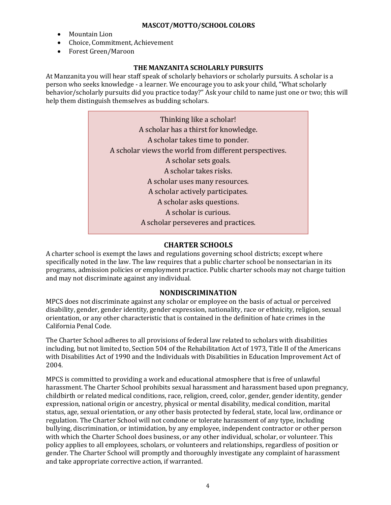#### **MASCOT/MOTTO/SCHOOL COLORS**

- <span id="page-4-0"></span>• Mountain Lion
- Choice, Commitment, Achievement
- Forest Green/Maroon

#### **THE MANZANITA SCHOLARLY PURSUITS**

<span id="page-4-1"></span>At Manzanita you will hear staff speak of scholarly behaviors or scholarly pursuits. A scholar is a person who seeks knowledge - a learner. We encourage you to ask your child, "What scholarly behavior/scholarly pursuits did you practice today?" Ask your child to name just one or two; this will help them distinguish themselves as budding scholars.

| Thinking like a scholar!                               |
|--------------------------------------------------------|
| A scholar has a thirst for knowledge.                  |
| A scholar takes time to ponder.                        |
| A scholar views the world from different perspectives. |
| A scholar sets goals.                                  |
| A scholar takes risks.                                 |
| A scholar uses many resources.                         |
| A scholar actively participates.                       |
| A scholar asks questions.                              |
| A scholar is curious.                                  |
| A scholar perseveres and practices.                    |
|                                                        |

#### **CHARTER SCHOOLS**

<span id="page-4-2"></span>A charter school is exempt the laws and regulations governing school districts; except where specifically noted in the law. The law requires that a public charter school be nonsectarian in its programs, admission policies or employment practice. Public charter schools may not charge tuition and may not discriminate against any individual.

#### **NONDISCRIMINATION**

<span id="page-4-3"></span>MPCS does not discriminate against any scholar or employee on the basis of actual or perceived disability, gender, gender identity, gender expression, nationality, race or ethnicity, religion, sexual orientation, or any other characteristic that is contained in the definition of hate crimes in the California Penal Code.

The Charter School adheres to all provisions of federal law related to scholars with disabilities including, but not limited to, Section 504 of the Rehabilitation Act of 1973, Title II of the Americans with Disabilities Act of 1990 and the Individuals with Disabilities in Education Improvement Act of 2004.

MPCS is committed to providing a work and educational atmosphere that is free of unlawful harassment. The Charter School prohibits sexual harassment and harassment based upon pregnancy, childbirth or related medical conditions, race, religion, creed, color, gender, gender identity, gender expression, national origin or ancestry, physical or mental disability, medical condition, marital status, age, sexual orientation, or any other basis protected by federal, state, local law, ordinance or regulation. The Charter School will not condone or tolerate harassment of any type, including bullying, discrimination, or intimidation, by any employee, independent contractor or other person with which the Charter School does business, or any other individual, scholar, or volunteer. This policy applies to all employees, scholars, or volunteers and relationships, regardless of position or gender. The Charter School will promptly and thoroughly investigate any complaint of harassment and take appropriate corrective action, if warranted.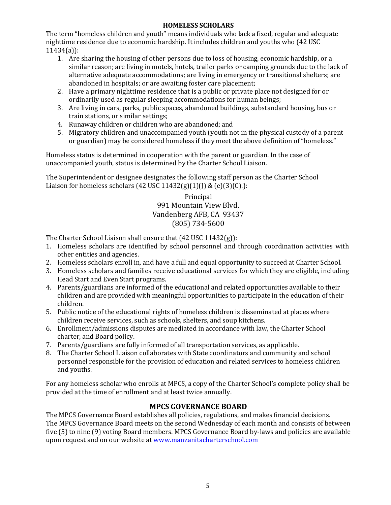#### **HOMELESS SCHOLARS**

<span id="page-5-0"></span>The term "homeless children and youth" means individuals who lack a fixed, regular and adequate nighttime residence due to economic hardship. It includes children and youths who (42 USC 11434(a)):

- 1. Are sharing the housing of other persons due to loss of housing, economic hardship, or a similar reason; are living in motels, hotels, trailer parks or camping grounds due to the lack of alternative adequate accommodations; are living in emergency or transitional shelters; are abandoned in hospitals; or are awaiting foster care placement;
- 2. Have a primary nighttime residence that is a public or private place not designed for or ordinarily used as regular sleeping accommodations for human beings;
- 3. Are living in cars, parks, public spaces, abandoned buildings, substandard housing, bus or train stations, or similar settings;
- 4. Runaway children or children who are abandoned; and
- 5. Migratory children and unaccompanied youth (youth not in the physical custody of a parent or guardian) may be considered homeless if they meet the above definition of "homeless."

Homeless status is determined in cooperation with the parent or guardian. In the case of unaccompanied youth, status is determined by the Charter School Liaison.

The Superintendent or designee designates the following staff person as the Charter School Liaison for homeless scholars (42 USC 11432(g)(1)(J) & (e)(3)(C).):

> Principal 991 Mountain View Blvd. Vandenberg AFB, CA 93437 (805) 734-5600

The Charter School Liaison shall ensure that (42 USC 11432(g)):

- 1. Homeless scholars are identified by school personnel and through coordination activities with other entities and agencies.
- 2. Homeless scholars enroll in, and have a full and equal opportunity to succeed at Charter School.
- 3. Homeless scholars and families receive educational services for which they are eligible, including Head Start and Even Start programs.
- 4. Parents/guardians are informed of the educational and related opportunities available to their children and are provided with meaningful opportunities to participate in the education of their children.
- 5. Public notice of the educational rights of homeless children is disseminated at places where children receive services, such as schools, shelters, and soup kitchens.
- 6. Enrollment/admissions disputes are mediated in accordance with law, the Charter School charter, and Board policy.
- 7. Parents/guardians are fully informed of all transportation services, as applicable.
- 8. The Charter School Liaison collaborates with State coordinators and community and school personnel responsible for the provision of education and related services to homeless children and youths.

For any homeless scholar who enrolls at MPCS, a copy of the Charter School's complete policy shall be provided at the time of enrollment and at least twice annually.

#### **MPCS GOVERNANCE BOARD**

<span id="page-5-1"></span>The MPCS Governance Board establishes all policies, regulations, and makes financial decisions. The MPCS Governance Board meets on the second Wednesday of each month and consists of between five (5) to nine (9) voting Board members. MPCS Governance Board by-laws and policies are available upon request and on our website at [www.manzanitacharterschool.com](http://www.manzanitacharterschool.com/)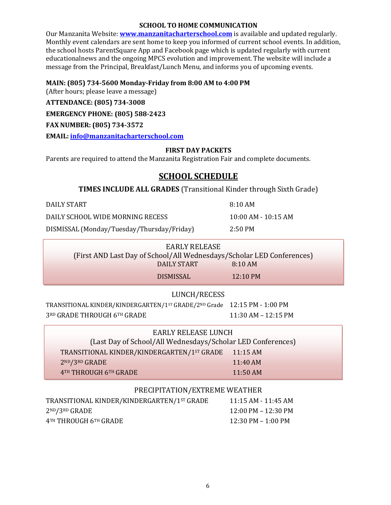#### **SCHOOL TO HOME COMMUNICATION**

<span id="page-6-0"></span>Our Manzanita Website: **[www.manzanitacharterschool.com](http://www.manzanitacharterschool.com/)** is available and updated regularly. Monthly event calendars are sent home to keep you informed of current school events. In addition, the school hosts ParentSquare App and Facebook page which is updated regularly with current educationalnews and the ongoing MPCS evolution and improvement. The website will include a message from the Principal, Breakfast/Lunch Menu, and informs you of upcoming events.

#### **MAIN: (805) 734-5600 Monday-Friday from 8:00 AM to 4:00 PM**

(After hours; please leave a message)

**ATTENDANCE: (805) 734-3008**

**EMERGENCY PHONE: (805) 588-2423**

**FAX NUMBER: (805) 734-3572**

<span id="page-6-1"></span>**EMAIL: [info@manzanitacharterschool.com](mailto:info@manzanitacharterschool.com)**

#### **FIRST DAY PACKETS**

<span id="page-6-2"></span>Parents are required to attend the Manzanita Registration Fair and complete documents.

## **SCHOOL SCHEDULE**

**TIMES INCLUDE ALL GRADES** (Transitional Kinder through Sixth Grade)

DAILY START 8:10 AM

DAILY SCHOOL WIDE MORNING RECESS 10:00 AM - 10:15 AM

DISMISSAL (Monday/Tuesday/Thursday/Friday) 2:50 PM

|                                                                       | EARLY RELEASE |                    |  |
|-----------------------------------------------------------------------|---------------|--------------------|--|
| (First AND Last Day of School/All Wednesdays/Scholar LED Conferences) |               |                    |  |
| DAILY START                                                           |               | 8:10AM             |  |
| DISMISSAL                                                             |               | $12:10 \text{ PM}$ |  |

#### LUNCH/RECESS

TRANSITIONAL KINDER/KINDERGARTEN/1ST GRADE/2ND Grade 12:15 PM - 1:00 PM 3RD GRADE THROUGH 6TH GRADE 11:30 AM – 12:15 PM

| <b>EARLY RELEASE LUNCH</b>                                       |  |
|------------------------------------------------------------------|--|
| (Last Day of School/All Wednesdays/Scholar LED Conferences)      |  |
| TRANSITIONAL KINDER/KINDERGARTEN/1ST GRADE<br>$11:15 \text{ AM}$ |  |
| 2ND/3RD GRADE<br>$11:40$ AM                                      |  |
| 4TH THROUGH 6TH GRADE<br>$11:50$ AM                              |  |

#### PRECIPITATION/EXTREME WEATHER

| TRANSITIONAL KINDER/KINDERGARTEN/1ST GRADE | 11:15 AM - 11:45 AM                   |
|--------------------------------------------|---------------------------------------|
| $2^{ND}/3^{RD}$ GRADE                      | $12:00 \text{ PM} - 12:30 \text{ PM}$ |
| 4TH THROUGH 6TH GRADE                      | $12:30 \text{ PM} - 1:00 \text{ PM}$  |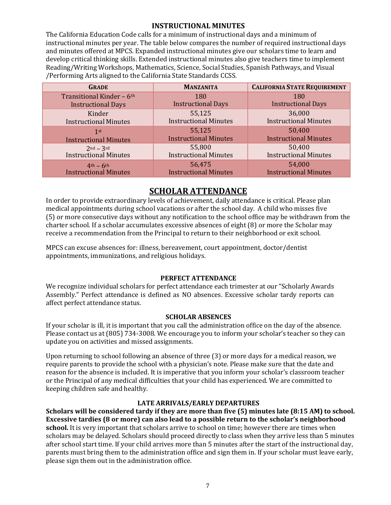#### **INSTRUCTIONAL MINUTES**

<span id="page-7-0"></span>The California Education Code calls for a minimum of instructional days and a minimum of instructional minutes per year. The table below compares the number of required instructional days and minutes offered at MPCS. Expanded instructional minutes give our scholars time to learn and develop critical thinking skills. Extended instructional minutes also give teachers time to implement Reading/Writing Workshops, Mathematics, Science, Social Studies, Spanish Pathways, and Visual /Performing Arts aligned to the California State Standards CCSS.

| <b>GRADE</b>                 | <b>MANZANITA</b>             | <b>CALIFORNIA STATE REQUIREMENT</b> |
|------------------------------|------------------------------|-------------------------------------|
| Transitional Kinder - 6th    | 180                          | 180                                 |
| <b>Instructional Days</b>    | <b>Instructional Days</b>    | <b>Instructional Days</b>           |
| Kinder                       | 55,125                       | 36,000                              |
| <b>Instructional Minutes</b> | <b>Instructional Minutes</b> | <b>Instructional Minutes</b>        |
| 1st                          | 55,125                       | 50,400                              |
| <b>Instructional Minutes</b> | <b>Instructional Minutes</b> | <b>Instructional Minutes</b>        |
| $2nd - 3rd$                  | 55,800                       | 50,400                              |
| <b>Instructional Minutes</b> | <b>Instructional Minutes</b> | <b>Instructional Minutes</b>        |
| $4th - 6th$                  | 56,475                       | 54,000                              |
| <b>Instructional Minutes</b> | <b>Instructional Minutes</b> | <b>Instructional Minutes</b>        |

## **SCHOLAR ATTENDANCE**

<span id="page-7-1"></span>In order to provide extraordinary levels of achievement, daily attendance is critical. Please plan medical appointments during school vacations or after the school day. A child who misses five (5) or more consecutive days without any notification to the school office may be withdrawn from the charter school. If a scholar accumulates excessive absences of eight (8) or more the Scholar may receive a recommendation from the Principal to return to their neighborhood or exit school.

MPCS can excuse absences for: illness, bereavement, court appointment, doctor/dentist appointments, immunizations, and religious holidays.

#### **PERFECT ATTENDANCE**

<span id="page-7-2"></span>We recognize individual scholars for perfect attendance each trimester at our "Scholarly Awards Assembly." Perfect attendance is defined as NO absences. Excessive scholar tardy reports can affect perfect attendance status.

#### **SCHOLAR ABSENCES**

<span id="page-7-3"></span>If your scholar is ill, it is important that you call the administration office on the day of the absence. Please contact us at (805) 734-3008. We encourage you to inform your scholar's teacher so they can update you on activities and missed assignments.

Upon returning to school following an absence of three (3) or more days for a medical reason, we require parents to provide the school with a physician's note. Please make sure that the date and reason for the absence is included. It is imperative that you inform your scholar's classroom teacher or the Principal of any medical difficulties that your child has experienced. We are committed to keeping children safe and healthy.

#### **LATE ARRIVALS/EARLY DEPARTURES**

<span id="page-7-4"></span>**Scholars will be considered tardy if they are more than five (5) minutes late (8:15 AM) to school. Excessive tardies (8 or more) can also lead to a possible return to the scholar's neighborhood** school. It is very important that scholars arrive to school on time; however there are times when scholars may be delayed. Scholars should proceed directly to class when they arrive less than 5 minutes after school start time. If your child arrives more than 5 minutes after the start of the instructional day, parents must bring them to the administration office and sign them in. If your scholar must leave early, please sign them out in the administration office.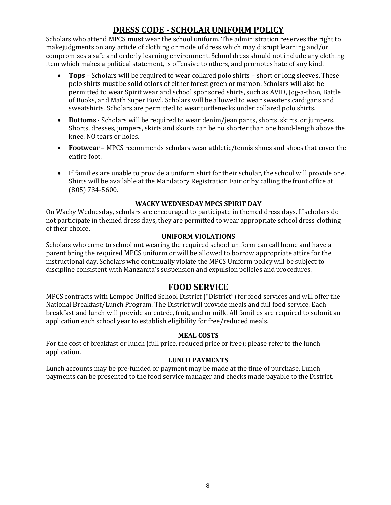## **DRESS CODE - SCHOLAR UNIFORM POLICY**

<span id="page-8-0"></span>Scholars who attend MPCS **must** wear the school uniform. The administration reserves the right to makejudgments on any article of clothing or mode of dress which may disrupt learning and/or compromises a safe and orderly learning environment. School dress should not include any clothing item which makes a political statement, is offensive to others, and promotes hate of any kind.

- **Tops**  Scholars will be required to wear collared polo shirts short or long sleeves. These polo shirts must be solid colors of either forest green or maroon. Scholars will also be permitted to wear Spirit wear and school sponsored shirts, such as AVID, Jog-a-thon, Battle of Books, and Math Super Bowl. Scholars will be allowed to wear sweaters,cardigans and sweatshirts. Scholars are permitted to wear turtlenecks under collared polo shirts.
- **Bottoms**  Scholars will be required to wear denim/jean pants, shorts, skirts, or jumpers. Shorts, dresses, jumpers, skirts and skorts can be no shorter than one hand-length above the knee. NO tears or holes.
- **Footwear**  MPCS recommends scholars wear athletic/tennis shoes and shoes that cover the entire foot.
- If families are unable to provide a uniform shirt for their scholar, the school will provide one. Shirts will be available at the Mandatory Registration Fair or by calling the front office at (805) 734-5600.

#### **WACKY WEDNESDAY MPCS SPIRIT DAY**

<span id="page-8-1"></span>On Wacky Wednesday, scholars are encouraged to participate in themed dress days. If scholars do not participate in themed dress days, they are permitted to wear appropriate school dress clothing of their choice.

#### **UNIFORM VIOLATIONS**

<span id="page-8-2"></span>Scholars who come to school not wearing the required school uniform can call home and have a parent bring the required MPCS uniform or will be allowed to borrow appropriate attire for the instructional day. Scholars who continually violate the MPCS Uniform policy will be subject to discipline consistent with Manzanita's suspension and expulsion policies and procedures.

#### **FOOD SERVICE**

<span id="page-8-3"></span>MPCS contracts with Lompoc Unified School District ("District") for food services and will offer the National Breakfast/Lunch Program. The District will provide meals and full food service. Each breakfast and lunch will provide an entrée, fruit, and or milk. All families are required to submit an application each school year to establish eligibility for free/reduced meals.

#### **MEAL COSTS**

<span id="page-8-4"></span>For the cost of breakfast or lunch (full price, reduced price or free); please refer to the lunch application.

#### **LUNCH PAYMENTS**

<span id="page-8-5"></span>Lunch accounts may be pre-funded or payment may be made at the time of purchase. Lunch payments can be presented to the food service manager and checks made payable to the District.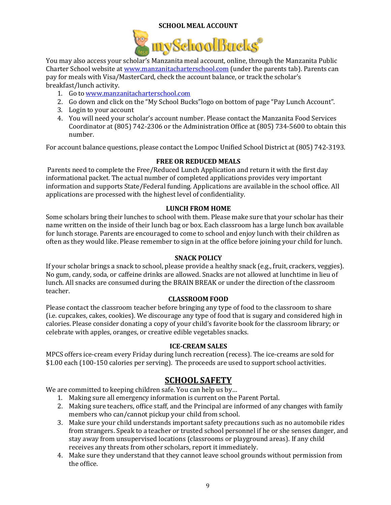#### **SCHOOL MEAL ACCOUNT**



<span id="page-9-0"></span>You may also access your scholar's Manzanita meal account, online, through the Manzanita Public Charter School website a[t www.manzanitacharterschool.com](http://www.manzanitacharterschool.com/) (under the parents tab). Parents can pay for meals with Visa/MasterCard, check the account balance, or track the scholar's breakfast/lunch activity.

- 1. Go to [www.manzanitacharterschool.com](http://www.manzanitacharterschool.com/)
- 2. Go down and click on the "My School Bucks"logo on bottom of page "Pay Lunch Account".
- 3. Login to your account
- 4. You will need your scholar's account number. Please contact the Manzanita Food Services Coordinator at (805) 742-2306 or the Administration Office at (805) 734-5600 to obtain this number.

<span id="page-9-1"></span>For account balance questions, please contact the Lompoc Unified School District at (805) 742-3193.

#### **FREE OR REDUCED MEALS**

Parents need to complete the Free/Reduced Lunch Application and return it with the first day informational packet. The actual number of completed applications provides very important information and supports State/Federal funding. Applications are available in the school office. All applications are processed with the highest level of confidentiality.

#### **LUNCH FROM HOME**

<span id="page-9-2"></span>Some scholars bring their lunches to school with them. Please make sure that your scholar has their name written on the inside of their lunch bag or box. Each classroom has a large lunch box available for lunch storage. Parents are encouraged to come to school and enjoy lunch with their children as often as they would like. Please remember to sign in at the office before joining your child for lunch.

#### **SNACK POLICY**

<span id="page-9-3"></span>If your scholar brings a snack to school, please provide a healthy snack (e.g., fruit, crackers, veggies). No gum, candy, soda, or caffeine drinks are allowed. Snacks are not allowed at lunchtime in lieu of lunch. All snacks are consumed during the BRAIN BREAK or under the direction of the classroom teacher.

#### **CLASSROOM FOOD**

<span id="page-9-4"></span>Please contact the classroom teacher before bringing any type of food to the classroom to share (i.e. cupcakes, cakes, cookies). We discourage any type of food that is sugary and considered high in calories. Please consider donating a copy of your child's favorite book for the classroom library; or celebrate with apples, oranges, or creative edible vegetables snacks.

#### **ICE-CREAM SALES**

<span id="page-9-5"></span>MPCS offers ice-cream every Friday during lunch recreation (recess). The ice-creams are sold for \$1.00 each (100-150 calories per serving). The proceeds are used to support school activities.

## **SCHOOL SAFETY**

<span id="page-9-6"></span>We are committed to keeping children safe. You can help us by...

- 1. Making sure all emergency information is current on the Parent Portal.
- 2. Making sure teachers, office staff, and the Principal are informed of any changes with family members who can/cannot pickup your child from school.
- 3. Make sure your child understands important safety precautions such as no automobile rides from strangers. Speak to a teacher or trusted school personnel if he or she senses danger, and stay away from unsupervised locations (classrooms or playground areas). If any child receives any threats from other scholars, report it immediately.
- 4. Make sure they understand that they cannot leave school grounds without permission from the office.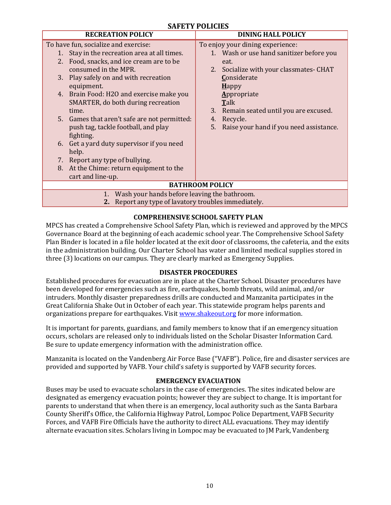<span id="page-10-0"></span>

| ям вті і опічня<br><b>RECREATION POLICY</b><br><b>DINING HALL POLICY</b> |                                               |  |
|--------------------------------------------------------------------------|-----------------------------------------------|--|
| To have fun, socialize and exercise:                                     | To enjoy your dining experience:              |  |
| Stay in the recreation area at all times.<br>1.                          | 1. Wash or use hand sanitizer before you      |  |
| Food, snacks, and ice cream are to be<br>2.                              | eat.                                          |  |
| consumed in the MPR.                                                     | 2. Socialize with your classmates-CHAT        |  |
| Play safely on and with recreation<br>3.                                 | Considerate                                   |  |
| equipment.                                                               | $H$ appy                                      |  |
| 4. Brain Food: H2O and exercise make you                                 | Appropriate                                   |  |
| SMARTER, do both during recreation                                       | <b>Talk</b>                                   |  |
| time.                                                                    | 3. Remain seated until you are excused.       |  |
| 5. Games that aren't safe are not permitted:                             | Recycle.<br>4.                                |  |
| push tag, tackle football, and play                                      | 5.<br>Raise your hand if you need assistance. |  |
| fighting.                                                                |                                               |  |
| Get a yard duty supervisor if you need<br>6.                             |                                               |  |
| help.                                                                    |                                               |  |
| 7. Report any type of bullying.                                          |                                               |  |
| At the Chime: return equipment to the<br>8.                              |                                               |  |
| cart and line-up.                                                        |                                               |  |
| <b>BATHROOM POLICY</b>                                                   |                                               |  |
|                                                                          |                                               |  |
| Wash your hands before leaving the bathroom.<br>1.                       |                                               |  |
| Report any type of lavatory troubles immediately.<br>2.                  |                                               |  |

#### **COMPREHENSIVE SCHOOL SAFETY PLAN**

<span id="page-10-1"></span>MPCS has created a Comprehensive School Safety Plan, which is reviewed and approved by the MPCS Governance Board at the beginning of each academic school year. The Comprehensive School Safety Plan Binder is located in a file holder located at the exit door of classrooms, the cafeteria, and the exits in the administration building. Our Charter School has water and limited medical supplies stored in three (3) locations on our campus. They are clearly marked as Emergency Supplies.

#### **DISASTER PROCEDURES**

<span id="page-10-2"></span>Established procedures for evacuation are in place at the Charter School. Disaster procedures have been developed for emergencies such as fire, earthquakes, bomb threats, wild animal, and/or intruders. Monthly disaster preparedness drills are conducted and Manzanita participates in the Great California Shake Out in October of each year. This statewide program helps parents and organizations prepare for earthquakes. Visit [www.shakeout.org](http://www.shakeout.org/) for more information.

It is important for parents, guardians, and family members to know that if an emergency situation occurs, scholars are released only to individuals listed on the Scholar Disaster Information Card. Be sure to update emergency information with the administration office.

Manzanita is located on the Vandenberg Air Force Base ("VAFB"). Police, fire and disaster services are provided and supported by VAFB. Your child's safety is supported by VAFB security forces.

#### **EMERGENCY EVACUATION**

<span id="page-10-3"></span>Buses may be used to evacuate scholars in the case of emergencies. The sites indicated below are designated as emergency evacuation points; however they are subject to change. It is important for parents to understand that when there is an emergency, local authority such as the Santa Barbara County Sheriff's Office, the California Highway Patrol, Lompoc Police Department, VAFB Security Forces, and VAFB Fire Officials have the authority to direct ALL evacuations. They may identify alternate evacuation sites. Scholars living in Lompoc may be evacuated to JM Park, Vandenberg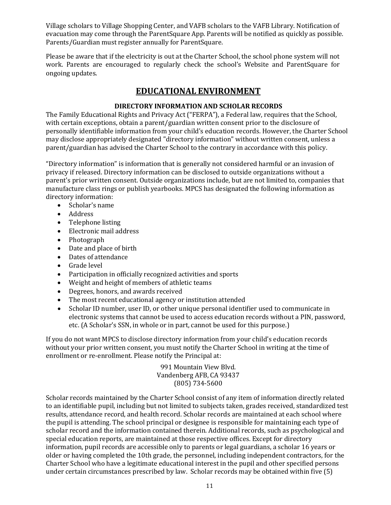Village scholars to Village Shopping Center, and VAFB scholars to the VAFB Library. Notification of evacuation may come through the ParentSquare App. Parents will be notified as quickly as possible. Parents/Guardian must register annually for ParentSquare.

Please be aware that if the electricity is out at the Charter School, the school phone system will not work. Parents are encouraged to regularly check the school's Website and ParentSquare for ongoing updates.

## **EDUCATIONAL ENVIRONMENT**

#### **DIRECTORY INFORMATION AND SCHOLAR RECORDS**

<span id="page-11-0"></span>The Family Educational Rights and Privacy Act ("FERPA"), a Federal law, requires that the School, with certain exceptions, obtain a parent/guardian written consent prior to the disclosure of personally identifiable information from your child's education records. However, the Charter School may disclose appropriately designated "directory information" without written consent, unless a parent/guardian has advised the Charter School to the contrary in accordance with this policy.

"Directory information" is information that is generally not considered harmful or an invasion of privacy if released. Directory information can be disclosed to outside organizations without a parent's prior written consent. Outside organizations include, but are not limited to, companies that manufacture class rings or publish yearbooks. MPCS has designated the following information as directory information:

- Scholar's name
- Address
- Telephone listing
- Electronic mail address
- Photograph
- Date and place of birth
- Dates of attendance
- Grade level
- Participation in officially recognized activities and sports
- Weight and height of members of athletic teams
- Degrees, honors, and awards received
- The most recent educational agency or institution attended
- Scholar ID number, user ID, or other unique personal identifier used to communicate in electronic systems that cannot be used to access education records without a PIN, password, etc. (A Scholar's SSN, in whole or in part, cannot be used for this purpose.)

If you do not want MPCS to disclose directory information from your child's education records without your prior written consent, you must notify the Charter School in writing at the time of enrollment or re-enrollment. Please notify the Principal at:

> 991 Mountain View Blvd. Vandenberg AFB, CA 93437 (805) 734-5600

Scholar records maintained by the Charter School consist of any item of information directly related to an identifiable pupil, including but not limited to subjects taken, grades received, standardized test results, attendance record, and health record. Scholar records are maintained at each school where the pupil is attending. The school principal or designee is responsible for maintaining each type of scholar record and the information contained therein. Additional records, such as psychological and special education reports, are maintained at those respective offices. Except for directory information, pupil records are accessible only to parents or legal guardians, a scholar 16 years or older or having completed the 10th grade, the personnel, including independent contractors, for the Charter School who have a legitimate educational interest in the pupil and other specified persons under certain circumstances prescribed by law. Scholar records may be obtained within five (5)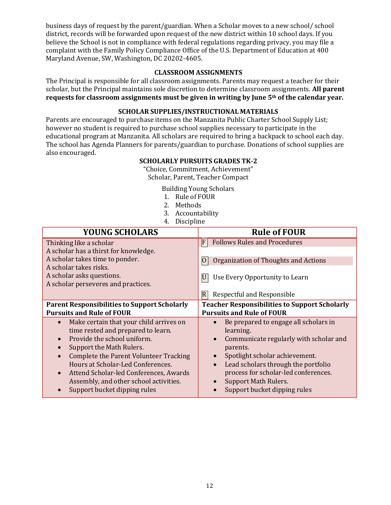business days of request by the parent/guardian. When a Scholar moves to a new school/ school district, records will be forwarded upon request of the new district within 10 school days. If you believe the School is not in compliance with federal regulations regarding privacy, you may file a complaint with the Family Policy Compliance Office of the U.S. Department of Education at 400 Maryland Avenue, SW, Washington, DC 20202-4605.

#### **CLASSROOM ASSIGNMENTS**

<span id="page-12-0"></span>The Principal is responsible for all classroom assignments. Parents may request a teacher for their scholar, but the Principal maintains sole discretion to determine classroom assignments. **All parent requests for classroom assignments must be given in writing by June 5th of the calendar year.**

#### **SCHOLAR SUPPLIES/INSTRUCTIONAL MATERIALS**

<span id="page-12-1"></span>Parents are encouraged to purchase items on the Manzanita Public Charter School Supply List; however no student is required to purchase school supplies necessary to participate in the educational program at Manzanita. All scholars are required to bring a backpack to school each day. The school has Agenda Planners for parents/guardian to purchase. Donations of school supplies are also encouraged.

#### **SCHOLARLY PURSUITS GRADES TK-2**

"Choice, Commitment, Achievement" Scholar, Parent, Teacher Compact

Building Young Scholars

- 1. Rule of FOUR
- 2. Methods
- 3. Accountability
- 4. Discipline

| <b>YOUNG SCHOLARS</b>                               | <b>Rule of FOUR</b>                                  |
|-----------------------------------------------------|------------------------------------------------------|
| Thinking like a scholar                             | <b>Follows Rules and Procedures</b><br>IF            |
| A scholar has a thirst for knowledge.               |                                                      |
| A scholar takes time to ponder.                     | Organization of Thoughts and Actions                 |
| A scholar takes risks.                              | 10                                                   |
| A scholar asks questions.                           | U                                                    |
| A scholar perseveres and practices.                 | Use Every Opportunity to Learn                       |
|                                                     | $\overline{R}$<br>Respectful and Responsible         |
| <b>Parent Responsibilities to Support Scholarly</b> | <b>Teacher Responsibilities to Support Scholarly</b> |
| <b>Pursuits and Rule of FOUR</b>                    | <b>Pursuits and Rule of FOUR</b>                     |
| Make certain that your child arrives on             | Be prepared to engage all scholars in                |
| time rested and prepared to learn.                  | learning.                                            |
| Provide the school uniform.                         | Communicate regularly with scholar and               |
| Support the Math Rulers.                            | parents.                                             |
| Complete the Parent Volunteer Tracking              | Spotlight scholar achievement.                       |
| Hours at Scholar-Led Conferences.                   | Lead scholars through the portfolio                  |
| Attend Scholar-led Conferences, Awards              | process for scholar-led conferences.                 |
| Assembly, and other school activities.              | <b>Support Math Rulers.</b>                          |
| Support bucket dipping rules                        | Support bucket dipping rules                         |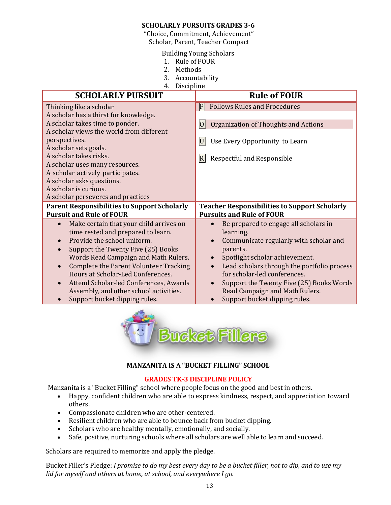#### **SCHOLARLY PURSUITS GRADES 3-6**

"Choice, Commitment, Achievement"

Scholar, Parent, Teacher Compact

Building Young Scholars

- 1. Rule of FOUR
- 2. Methods
- 3. Accountability
- 4. Discipline

| <b>SCHOLARLY PURSUIT</b>                                                         | <b>Rule of FOUR</b>                                                        |
|----------------------------------------------------------------------------------|----------------------------------------------------------------------------|
| Thinking like a scholar                                                          | <b>Follows Rules and Procedures</b><br>F                                   |
| A scholar has a thirst for knowledge.                                            |                                                                            |
| A scholar takes time to ponder.                                                  | $ 0\rangle$<br>Organization of Thoughts and Actions                        |
| A scholar views the world from different                                         |                                                                            |
| perspectives.                                                                    | U<br>Use Every Opportunity to Learn                                        |
| A scholar sets goals.                                                            |                                                                            |
| A scholar takes risks.                                                           | $ \mathbf{R} $<br><b>Respectful and Responsible</b>                        |
| A scholar uses many resources.<br>A scholar actively participates.               |                                                                            |
| A scholar asks questions.                                                        |                                                                            |
| A scholar is curious.                                                            |                                                                            |
| A scholar perseveres and practices                                               |                                                                            |
| <b>Parent Responsibilities to Support Scholarly</b>                              | <b>Teacher Responsibilities to Support Scholarly</b>                       |
| <b>Pursuit and Rule of FOUR</b>                                                  | <b>Pursuits and Rule of FOUR</b>                                           |
| Make certain that your child arrives on                                          | Be prepared to engage all scholars in<br>$\bullet$                         |
| time rested and prepared to learn.                                               | learning.                                                                  |
| Provide the school uniform.                                                      | Communicate regularly with scholar and<br>$\bullet$                        |
| Support the Twenty Five (25) Books                                               | parents.                                                                   |
| Words Read Campaign and Math Rulers.                                             | Spotlight scholar achievement.<br>$\bullet$                                |
| <b>Complete the Parent Volunteer Tracking</b>                                    | Lead scholars through the portfolio process<br>$\bullet$                   |
| Hours at Scholar-Led Conferences.                                                | for scholar-led conferences.<br>$\bullet$                                  |
| Attend Scholar-led Conferences, Awards<br>Assembly, and other school activities. | Support the Twenty Five (25) Books Words<br>Read Campaign and Math Rulers. |
| Support bucket dipping rules.                                                    | Support bucket dipping rules.<br>$\bullet$                                 |



#### **MANZANITA IS A "BUCKET FILLING" SCHOOL**

#### **GRADES TK-3 DISCIPLINE POLICY**

Manzanita is a "Bucket Filling" school where people focus on the good and best in others.

- Happy, confident children who are able to express kindness, respect, and appreciation toward others.
- Compassionate children who are other-centered.
- Resilient children who are able to bounce back from bucket dipping.
- Scholars who are healthy mentally, emotionally, and socially.
- Safe, positive, nurturing schools where all scholars are well able to learn and succeed.

Scholars are required to memorize and apply the pledge.

Bucket Filler's Pledge: I promise to do my best every day to be a bucket filler, not to dip, and to use my *lid for myself and others at home, at school, and everywhere I go.*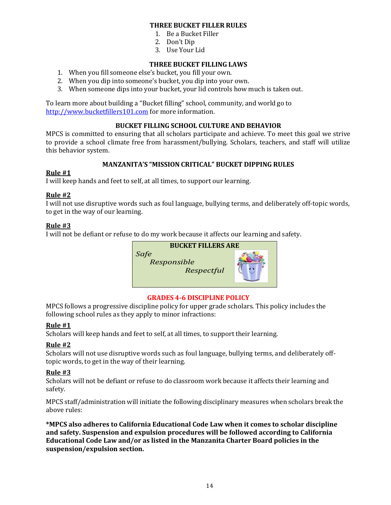#### **THREE BUCKET FILLER RULES**

- 1. Be a Bucket Filler
- 2. Don't Dip
- 3. Use Your Lid

#### **THREE BUCKET FILLING LAWS**

- 1. When you fill someone else's bucket, you fill your own.
- 2. When you dip into someone's bucket, you dip into your own.
- 3. When someone dips into your bucket, your lid controls how much is taken out.

To learn more about building a "Bucket filling" school, community, and world go to [http://www.bucketfillers101.com](http://www.bucketfillers101.com/) for more information.

#### **BUCKET FILLING SCHOOL CULTURE AND BEHAVIOR**

MPCS is committed to ensuring that all scholars participate and achieve. To meet this goal we strive to provide a school climate free from harassment/bullying. Scholars, teachers, and staff will utilize this behavior system.

#### **MANZANITA'S "MISSION CRITICAL" BUCKET DIPPING RULES**

#### **Rule #1**

I will keep hands and feet to self, at all times, to support our learning.

#### **Rule #2**

I will not use disruptive words such as foul language, bullying terms, and deliberately off-topic words, to get in the way of our learning.

#### **Rule #3**

I will not be defiant or refuse to do my work because it affects our learning and safety.



#### **GRADES 4-6 DISCIPLINE POLICY**

<span id="page-14-0"></span>MPCS follows a progressive discipline policy for upper grade scholars. This policy includes the following school rules as they apply to minor infractions:

#### **Rule #1**

Scholars will keep hands and feet to self, at all times, to support their learning.

#### **Rule #2**

Scholars will not use disruptive words such as foul language, bullying terms, and deliberately offtopic words, to get in the way of their learning.

#### **Rule #3**

Scholars will not be defiant or refuse to do classroom work because it affects their learning and safety.

MPCS staff/administration will initiate the following disciplinary measures when scholars break the above rules:

**\*MPCS also adheres to California Educational Code Law when it comes to scholar discipline and safety. Suspension and expulsion procedures will be followed according to California Educational Code Law and/or as listed in the Manzanita Charter Board policies in the suspension/expulsion section.**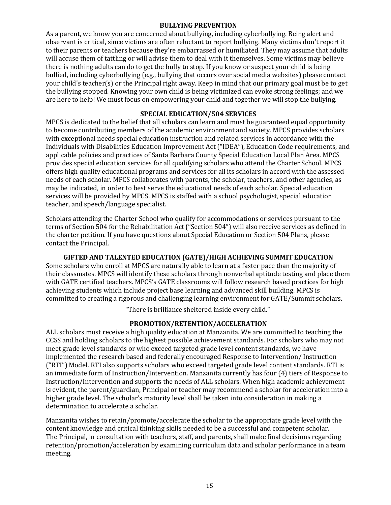#### **BULLYING PREVENTION**

<span id="page-15-0"></span>As a parent, we know you are concerned about bullying, including cyberbullying. Being alert and observant is critical, since victims are often reluctant to report bullying. Many victims don't report it to their parents or teachers because they're embarrassed or humiliated. They may assume that adults will accuse them of tattling or will advise them to deal with it themselves. Some victims may believe there is nothing adults can do to get the bully to stop. If you know or suspect your child is being bullied, including cyberbullying (e.g., bullying that occurs over social media websites) please contact your child's teacher(s) or the Principal right away. Keep in mind that our primary goal must be to get the bullying stopped. Knowing your own child is being victimized can evoke strong feelings; and we are here to help! We must focus on empowering your child and together we will stop the bullying.

#### **SPECIAL EDUCATION/504 SERVICES**

<span id="page-15-1"></span>MPCS is dedicated to the belief that all scholars can learn and must be guaranteed equal opportunity to become contributing members of the academic environment and society. MPCS provides scholars with exceptional needs special education instruction and related services in accordance with the Individuals with Disabilities Education Improvement Act ("IDEA"), Education Code requirements, and applicable policies and practices of Santa Barbara County Special Education Local Plan Area. MPCS provides special education services for all qualifying scholars who attend the Charter School. MPCS offers high quality educational programs and services for all its scholars in accord with the assessed needs of each scholar. MPCS collaborates with parents, the scholar, teachers, and other agencies, as may be indicated, in order to best serve the educational needs of each scholar. Special education services will be provided by MPCS. MPCS is staffed with a school psychologist, special education teacher, and speech/language specialist.

Scholars attending the Charter School who qualify for accommodations or services pursuant to the terms of Section 504 for the Rehabilitation Act ("Section 504") will also receive services as defined in the charter petition. If you have questions about Special Education or Section 504 Plans, please contact the Principal.

#### **GIFTED AND TALENTED EDUCATION (GATE)/HIGH ACHIEVING SUMMIT EDUCATION**

<span id="page-15-2"></span>Some scholars who enroll at MPCS are naturally able to learn at a faster pace than the majority of their classmates. MPCS will identify these scholars through nonverbal aptitude testing and place them with GATE certified teachers. MPCS's GATE classrooms will follow research based practices for high achieving students which include project base learning and advanced skill building. MPCS is committed to creating a rigorous and challenging learning environment for GATE/Summit scholars.

"There is brilliance sheltered inside every child."

#### **PROMOTION/RETENTION/ACCELERATION**

<span id="page-15-3"></span>ALL scholars must receive a high quality education at Manzanita. We are committed to teaching the CCSS and holding scholars to the highest possible achievement standards. For scholars who may not meet grade level standards or who exceed targeted grade level content standards, we have implemented the research based and federally encouraged Response to Intervention/ Instruction ("RTI") Model. RTI also supports scholars who exceed targeted grade level content standards. RTI is an immediate form of Instruction/Intervention. Manzanita currently has four (4) tiers of Response to Instruction/Intervention and supports the needs of ALL scholars. When high academic achievement is evident, the parent/guardian, Principal or teacher may recommend a scholar for acceleration into a higher grade level. The scholar's maturity level shall be taken into consideration in making a determination to accelerate a scholar.

Manzanita wishes to retain/promote/accelerate the scholar to the appropriate grade level with the content knowledge and critical thinking skills needed to be a successful and competent scholar. The Principal, in consultation with teachers, staff, and parents, shall make final decisions regarding retention/promotion/acceleration by examining curriculum data and scholar performance in a team meeting.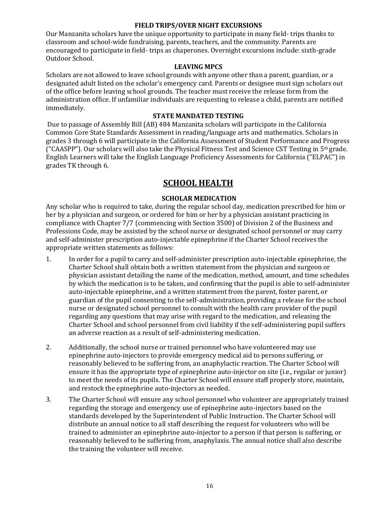#### **FIELD TRIPS/OVER NIGHT EXCURSIONS**

<span id="page-16-0"></span>Our Manzanita scholars have the unique opportunity to participate in many field- trips thanks to classroom and school-wide fundraising, parents, teachers, and the community. Parents are encouraged to participate in field- trips as chaperones. Overnight excursions include: sixth-grade Outdoor School.

#### **LEAVING MPCS**

<span id="page-16-1"></span>Scholars are not allowed to leave school grounds with anyone other than a parent, guardian, or a designated adult listed on the scholar's emergency card. Parents or designee must sign scholars out of the office before leaving school grounds. The teacher must receive the release form from the administration office. If unfamiliar individuals are requesting to release a child, parents are notified immediately.

#### **STATE MANDATED TESTING**

<span id="page-16-2"></span>Due to passage of Assembly Bill (AB) 484 Manzanita scholars will participate in the California Common Core State Standards Assessment in reading/language arts and mathematics. Scholars in grades 3 through 6 will participate in the California Assessment of Student Performance and Progress ("CAASPP"). Our scholars will also take the Physical Fitness Test and Science CST Testing in  $5<sup>th</sup>$  grade. English Learners will take the English Language Proficiency Assessments for California ("ELPAC") in grades TK through 6.

## **SCHOOL HEALTH**

#### **SCHOLAR MEDICATION**

<span id="page-16-4"></span><span id="page-16-3"></span>Any scholar who is required to take, during the regular school day, medication prescribed for him or her by a physician and surgeon, or ordered for him or her by a physician assistant practicing in compliance with Chapter 7/7 (commencing with Section 3500) of Division 2 of the Business and Professions Code, may be assisted by the school nurse or designated school personnel or may carry and self-administer prescription auto-injectable epinephrine if the Charter School receives the appropriate written statements as follows:

- 1. In order for a pupil to carry and self-administer prescription auto-injectable epinephrine, the Charter School shall obtain both a written statement from the physician and surgeon or physician assistant detailing the name of the medication, method, amount, and time schedules by which the medication is to be taken, and confirming that the pupil is able to self-administer auto-injectable epinephrine, and a written statement from the parent, foster parent, or guardian of the pupil consenting to the self-administration, providing a release for the school nurse or designated school personnel to consult with the health care provider of the pupil regarding any questions that may arise with regard to the medication, and releasing the Charter School and school personnel from civil liability if the self-administering pupil suffers an adverse reaction as a result of self-administering medication.
- 2. Additionally, the school nurse or trained personnel who have volunteered may use epinephrine auto-injectors to provide emergency medical aid to persons suffering, or reasonably believed to be suffering from, an anaphylactic reaction. The Charter School will ensure it has the appropriate type of epinephrine auto-injector on site (i.e., regular or junior) to meet the needs of its pupils. The Charter School will ensure staff properly store, maintain, and restock the epinephrine auto-injectors as needed.
- 3. The Charter School will ensure any school personnel who volunteer are appropriately trained regarding the storage and emergency use of epinephrine auto-injectors based on the standards developed by the Superintendent of Public Instruction. The Charter School will distribute an annual notice to all staff describing the request for volunteers who will be trained to administer an epinephrine auto-injector to a person if that person is suffering, or reasonably believed to be suffering from, anaphylaxis. The annual notice shall also describe the training the volunteer will receive.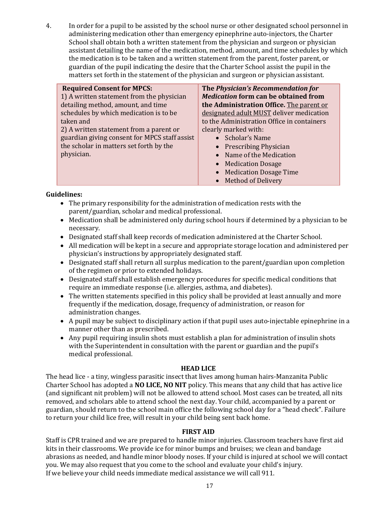4. In order for a pupil to be assisted by the school nurse or other designated school personnel in administering medication other than emergency epinephrine auto-injectors, the Charter School shall obtain both a written statement from the physician and surgeon or physician assistant detailing the name of the medication, method, amount, and time schedules by which the medication is to be taken and a written statement from the parent, foster parent, or guardian of the pupil indicating the desire that the Charter School assist the pupil in the matters set forth in the statement of the physician and surgeon or physician assistant.

| <b>Required Consent for MPCS:</b>             | The Physician's Recommendation for          |
|-----------------------------------------------|---------------------------------------------|
| 1) A written statement from the physician     | <b>Medication form can be obtained from</b> |
| detailing method, amount, and time            | the Administration Office. The parent or    |
| schedules by which medication is to be        | designated adult MUST deliver medication    |
| taken and                                     | to the Administration Office in containers  |
| 2) A written statement from a parent or       | clearly marked with:                        |
| guardian giving consent for MPCS staff assist | • Scholar's Name                            |
| the scholar in matters set forth by the       | • Prescribing Physician                     |
| physician.                                    | • Name of the Medication                    |
|                                               | • Medication Dosage                         |
|                                               | <b>Medication Dosage Time</b>               |
|                                               | • Method of Delivery                        |

#### **Guidelines:**

- The primary responsibility for the administration of medication rests with the parent/guardian, scholar and medical professional.
- Medication shall be administered only during school hours if determined by a physician to be necessary.
- Designated staff shall keep records of medication administered at the Charter School.
- All medication will be kept in a secure and appropriate storage location and administered per physician's instructions by appropriately designated staff.
- Designated staff shall return all surplus medication to the parent/guardian upon completion of the regimen or prior to extended holidays.
- Designated staff shall establish emergency procedures for specific medical conditions that require an immediate response (i.e. allergies, asthma, and diabetes).
- The written statements specified in this policy shall be provided at least annually and more frequently if the medication, dosage, frequency of administration, or reason for administration changes.
- A pupil may be subject to disciplinary action if that pupil uses auto-injectable epinephrine in a manner other than as prescribed.
- Any pupil requiring insulin shots must establish a plan for administration of insulin shots with the Superintendent in consultation with the parent or guardian and the pupil's medical professional.

#### **HEAD LICE**

<span id="page-17-0"></span>The head lice - a tiny, wingless parasitic insect that lives among human hairs-Manzanita Public Charter School has adopted a **NO LICE, NO NIT** policy. This means that any child that has active lice (and significant nit problem) will not be allowed to attend school. Most cases can be treated, all nits removed, and scholars able to attend school the next day. Your child, accompanied by a parent or guardian, should return to the school main office the following school day for a "head check". Failure to return your child lice free, will result in your child being sent back home.

#### **FIRST AID**

<span id="page-17-1"></span>Staff is CPR trained and we are prepared to handle minor injuries. Classroom teachers have first aid kits in their classrooms. We provide ice for minor bumps and bruises; we clean and bandage abrasions as needed, and handle minor bloody noses. If your child is injured at school we will contact you. We may also request that you come to the school and evaluate your child's injury. If we believe your child needs immediate medical assistance we will call 911.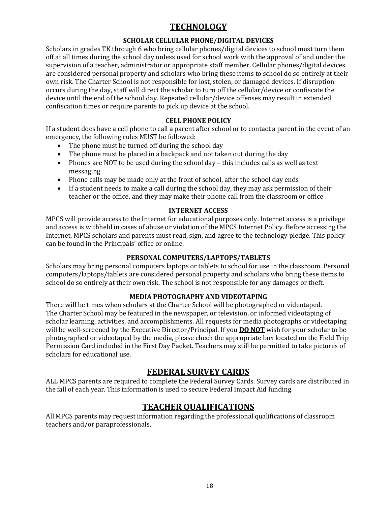## **TECHNOLOGY**

#### **SCHOLAR CELLULAR PHONE/DIGITAL DEVICES**

<span id="page-18-0"></span>Scholars in grades TK through 6 who bring cellular phones/digital devices to school must turn them off at all times during the school day unless used for school work with the approval of and under the supervision of a teacher, administrator or appropriate staff member. Cellular phones/digital devices are considered personal property and scholars who bring these items to school do so entirely at their own risk. The Charter School is not responsible for lost, stolen, or damaged devices. If disruption occurs during the day, staff will direct the scholar to turn off the cellular/device or confiscate the device until the end of the school day. Repeated cellular/device offenses may result in extended confiscation times or require parents to pick up device at the school.

#### **CELL PHONE POLICY**

<span id="page-18-1"></span>If a student does have a cell phone to call a parent after school or to contact a parent in the event of an emergency, the following rules MUST be followed:

- The phone must be turned off during the school day
- The phone must be placed in a backpack and not taken out during the day
- Phones are NOT to be used during the school day this includes calls as well as text messaging
- Phone calls may be made only at the front of school, after the school day ends
- If a student needs to make a call during the school day, they may ask permission of their teacher or the office, and they may make their phone call from the classroom or office

#### **INTERNET ACCESS**

<span id="page-18-2"></span>MPCS will provide access to the Internet for educational purposes only. Internet access is a privilege and access is withheld in cases of abuse or violation of the MPCS Internet Policy. Before accessing the Internet, MPCS scholars and parents must read, sign, and agree to the technology pledge. This policy can be found in the Principals' office or online.

#### **PERSONAL COMPUTERS/LAPTOPS/TABLETS**

<span id="page-18-3"></span>Scholars may bring personal computers laptops or tablets to school for use in the classroom. Personal computers/laptops/tablets are considered personal property and scholars who bring these items to school do so entirely at their own risk. The school is not responsible for any damages or theft.

#### **MEDIA PHOTOGRAPHY AND VIDEOTAPING**

<span id="page-18-4"></span>There will be times when scholars at the Charter School will be photographed or videotaped. The Charter School may be featured in the newspaper, or television, or informed videotaping of scholar learning, activities, and accomplishments. All requests for media photographs or videotaping will be well-screened by the Executive Director/Principal. If you **DO NOT** wish for your scholar to be photographed or videotaped by the media, please check the appropriate box located on the Field Trip Permission Card included in the First Day Packet. Teachers may still be permitted to take pictures of scholars for educational use.

## **FEDERAL SURVEY CARDS**

<span id="page-18-5"></span>ALL MPCS parents are required to complete the Federal Survey Cards. Survey cards are distributed in the fall of each year. This information is used to secure Federal Impact Aid funding.

## **TEACHER QUALIFICATIONS**

<span id="page-18-6"></span>All MPCS parents may request information regarding the professional qualifications of classroom teachers and/or paraprofessionals.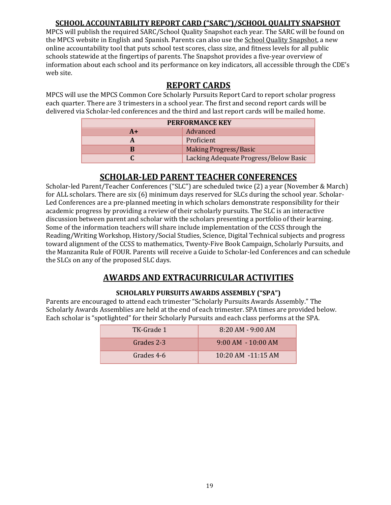## **SCHOOL ACCOUNTABILITY REPORT CARD ("SARC")/SCHOOL QUALITY SNAPSHOT**

<span id="page-19-0"></span>MPCS will publish the required SARC/School Quality Snapshot each year. The SARC will be found on the MPCS website in English and Spanish. Parents can also use th[e School Quality Snapshot, a](http://www.cde.ca.gov/nr/ne/yr12/documents/yr12sqs1009.pdf) new online accountability tool that puts school test scores, class size, and fitness levels for all public schools statewide at the fingertips of parents. The [Snapshot p](http://www.cde.ca.gov/ta/ac/sq/)rovides a five-year overview of information about each school and its performance on key indicators, all accessible through th[e CDE'](http://www.cde.ca.gov/index.asp)s web site.

## **REPORT CARDS**

MPCS will use the MPCS Common Core Scholarly Pursuits Report Card to report scholar progress each quarter. There are 3 trimesters in a school year. The first and second report cards will be delivered via Scholar-led conferences and the third and last report cards will be mailed home.

| <b>PERFORMANCE KEY</b> |                                       |  |
|------------------------|---------------------------------------|--|
| $A+$                   | Advanced                              |  |
|                        | Proficient                            |  |
|                        | <b>Making Progress/Basic</b>          |  |
|                        | Lacking Adequate Progress/Below Basic |  |

## **SCHOLAR-LED PARENT TEACHER CONFERENCES**

<span id="page-19-1"></span>Scholar-led Parent/Teacher Conferences ("SLC") are scheduled twice (2) a year (November & March) for ALL scholars. There are six (6) minimum days reserved for SLCs during the school year. Scholar-Led Conferences are a pre-planned meeting in which scholars demonstrate responsibility for their academic progress by providing a review of their scholarly pursuits. The SLC is an interactive discussion between parent and scholar with the scholars presenting a portfolio of their learning. Some of the information teachers will share include implementation of the CCSS through the Reading/Writing Workshop, History/Social Studies, Science, Digital Technical subjects and progress toward alignment of the CCSS to mathematics, Twenty-Five Book Campaign, Scholarly Pursuits, and the Manzanita Rule of FOUR. Parents will receive a Guide to Scholar-led Conferences and can schedule the SLCs on any of the proposed SLC days.

## **AWARDS AND EXTRACURRICULAR ACTIVITIES**

#### **SCHOLARLY PURSUITS AWARDS ASSEMBLY ("SPA")**

<span id="page-19-3"></span><span id="page-19-2"></span>Parents are encouraged to attend each trimester "Scholarly Pursuits Awards Assembly." The Scholarly Awards Assemblies are held at the end of each trimester. SPA times are provided below. Each scholar is "spotlighted" for their Scholarly Pursuits and each class performs at the SPA.

| TK-Grade 1 | $8:20$ AM - 9:00 AM    |
|------------|------------------------|
| Grades 2-3 | $9:00$ AM $-10:00$ AM  |
| Grades 4-6 | $10:20$ AM $-11:15$ AM |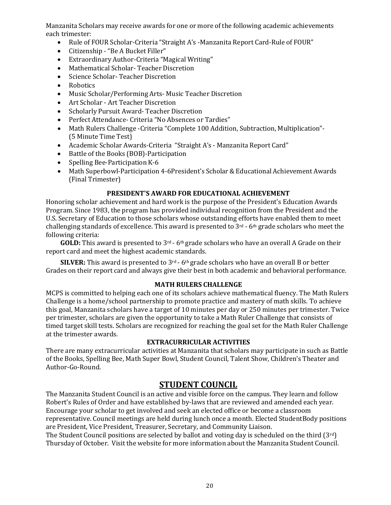Manzanita Scholars may receive awards for one or more of the following academic achievements each trimester:

- Rule of FOUR Scholar-Criteria "Straight A's -Manzanita Report Card-Rule of FOUR"
- Citizenship "Be A Bucket Filler"
- Extraordinary Author-Criteria "Magical Writing"
- Mathematical Scholar- Teacher Discretion
- Science Scholar-Teacher Discretion
- Robotics
- Music Scholar/Performing Arts- Music Teacher Discretion
- Art Scholar Art Teacher Discretion
- Scholarly Pursuit Award- Teacher Discretion
- Perfect Attendance- Criteria "No Absences or Tardies"
- Math Rulers Challenge -Criteria "Complete 100 Addition, Subtraction, Multiplication"-(5 Minute Time Test)
- Academic Scholar Awards-Criteria "Straight A's Manzanita Report Card"
- Battle of the Books (BOB)-Participation
- Spelling Bee-Participation K-6
- Math Superbowl-Participation 4-6President's Scholar & Educational Achievement Awards (Final Trimester)

#### **PRESIDENT'S AWARD FOR EDUCATIONAL ACHIEVEMENT**

<span id="page-20-0"></span>Honoring scholar achievement and hard work is the purpose of the President's Education Awards Program. Since 1983, the program has provided individual recognition from the President and the U.S. Secretary of Education to those scholars whose outstanding efforts have enabled them to meet challenging standards of excellence. This award is presented to 3rd - 6th grade scholars who meet the following criteria:

GOLD: This award is presented to 3<sup>rd</sup> - 6<sup>th</sup> grade scholars who have an overall A Grade on their report card and meet the highest academic standards.

**SILVER:** This award is presented to 3<sup>rd</sup> - 6<sup>th</sup> grade scholars who have an overall B or better Grades on their report card and always give their best in both academic and behavioral performance.

#### **MATH RULERS CHALLENGE**

<span id="page-20-1"></span>MCPS is committed to helping each one of its scholars achieve mathematical fluency. The Math Rulers Challenge is a home/school partnership to promote practice and mastery of math skills. To achieve this goal, Manzanita scholars have a target of 10 minutes per day or 250 minutes per trimester. Twice per trimester, scholars are given the opportunity to take a Math Ruler Challenge that consists of timed target skill tests. Scholars are recognized for reaching the goal set for the Math Ruler Challenge at the trimester awards.

#### **EXTRACURRICULAR ACTIVITIES**

<span id="page-20-2"></span>There are many extracurricular activities at Manzanita that scholars may participate in such as Battle of the Books, Spelling Bee, Math Super Bowl, Student Council, Talent Show, Children's Theater and Author-Go-Round.

## **STUDENT COUNCIL**

<span id="page-20-3"></span>The Manzanita Student Council is an active and visible force on the campus. They learn and follow Robert's Rules of Order and have established by-laws that are reviewed and amended each year. Encourage your scholar to get involved and seek an elected office or become a classroom representative. Council meetings are held during lunch once a month. Elected StudentBody positions are President, Vice President, Treasurer, Secretary, and Community Liaison.

The Student Council positions are selected by ballot and voting day is scheduled on the third (3rd) Thursday of October. Visit the website for more information about the Manzanita Student Council.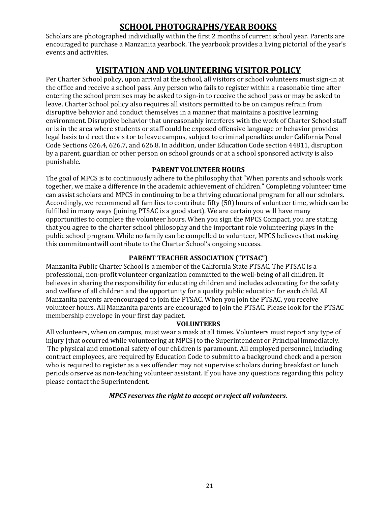## **SCHOOL PHOTOGRAPHS/YEAR BOOKS**

Scholars are photographed individually within the first 2 months of current school year. Parents are encouraged to purchase a Manzanita yearbook. The yearbook provides a living pictorial of the year's events and activities.

## **VISITATION AND VOLUNTEERING VISITOR POLICY**

<span id="page-21-0"></span>Per Charter School policy, upon arrival at the school, all visitors or school volunteers must sign-in at the office and receive a school pass. Any person who fails to register within a reasonable time after entering the school premises may be asked to sign-in to receive the school pass or may be asked to leave. Charter School policy also requires all visitors permitted to be on campus refrain from disruptive behavior and conduct themselves in a manner that maintains a positive learning environment. Disruptive behavior that unreasonably interferes with the work of Charter School staff or is in the area where students or staff could be exposed offensive language or behavior provides legal basis to direct the visitor to leave campus, subject to criminal penalties under California Penal Code Sections 626.4, 626.7, and 626.8. In addition, under Education Code section 44811, disruption by a parent, guardian or other person on school grounds or at a school sponsored activity is also punishable.

#### **PARENT VOLUNTEER HOURS**

<span id="page-21-1"></span>The goal of MPCS is to continuously adhere to the philosophy that "When parents and schools work together, we make a difference in the academic achievement of children." Completing volunteer time can assist scholars and MPCS in continuing to be a thriving educational program for all our scholars. Accordingly, we recommend all families to contribute fifty (50) hours of volunteer time, which can be fulfilled in many ways (joining PTSAC is a good start). We are certain you will have many opportunities to complete the volunteer hours. When you sign the MPCS Compact, you are stating that you agree to the charter school philosophy and the important role volunteering plays in the public school program. While no family can be compelled to volunteer, MPCS believes that making this commitmentwill contribute to the Charter School's ongoing success.

#### **PARENT TEACHER ASSOCIATION ("PTSAC")**

<span id="page-21-2"></span>Manzanita Public Charter School is a member of the California State PTSAC. The PTSAC is a professional, non-profit volunteer organization committed to the well-being of all children. It believes in sharing the responsibility for educating children and includes advocating for the safety and welfare of all children and the opportunity for a quality public education for each child. All Manzanita parents areencouraged to join the PTSAC. When you join the PTSAC, you receive volunteer hours. All Manzanita parents are encouraged to join the PTSAC. Please look for the PTSAC membership envelope in your first day packet.

#### **VOLUNTEERS**

<span id="page-21-3"></span>All volunteers, when on campus, must wear a mask at all times. Volunteers must report any type of injury (that occurred while volunteering at MPCS) to the Superintendent or Principal immediately. The physical and emotional safety of our children is paramount. All employed personnel, including contract employees, are required by Education Code to submit to a background check and a person who is required to register as a sex offender may not supervise scholars during breakfast or lunch periods orserve as non-teaching volunteer assistant. If you have any questions regarding this policy please contact the Superintendent.

#### *MPCS reserves the right to accept or reject all volunteers.*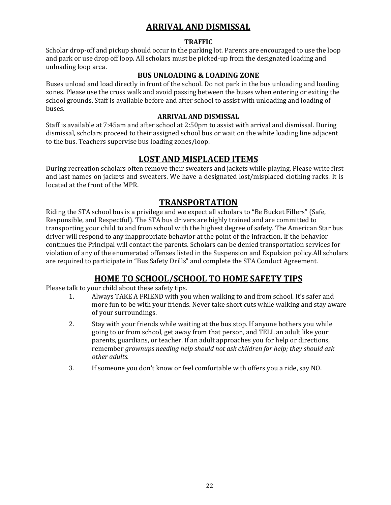## **ARRIVAL AND DISMISSAL**

#### **TRAFFIC**

<span id="page-22-1"></span><span id="page-22-0"></span>Scholar drop-off and pickup should occur in the parking lot. Parents are encouraged to use the loop and park or use drop off loop. All scholars must be picked-up from the designated loading and unloading loop area.

#### **BUS UNLOADING & LOADING ZONE**

Buses unload and load directly in front of the school. Do not park in the bus unloading and loading zones. Please use the cross walk and avoid passing between the buses when entering or exiting the school grounds. Staff is available before and after school to assist with unloading and loading of buses.

#### **ARRIVAL AND DISMISSAL**

Staff is available at 7:45am and after school at 2:50pm to assist with arrival and dismissal. During dismissal, scholars proceed to their assigned school bus or wait on the white loading line adjacent to the bus. Teachers supervise bus loading zones/loop.

## **LOST AND MISPLACED ITEMS**

During recreation scholars often remove their sweaters and jackets while playing. Please write first and last names on jackets and sweaters. We have a designated lost/misplaced clothing racks. It is located at the front of the MPR.

## **TRANSPORTATION**

<span id="page-22-2"></span>Riding the STA school bus is a privilege and we expect all scholars to "Be Bucket Fillers" (Safe, Responsible, and Respectful). The STA bus drivers are highly trained and are committed to transporting your child to and from school with the highest degree of safety. The American Star bus driver will respond to any inappropriate behavior at the point of the infraction. If the behavior continues the Principal will contact the parents. Scholars can be denied transportation services for violation of any of the enumerated offenses listed in the Suspension and Expulsion policy.All scholars are required to participate in "Bus Safety Drills" and complete the STA Conduct Agreement.

## **HOME TO SCHOOL/SCHOOL TO HOME SAFETY TIPS**

<span id="page-22-3"></span>Please talk to your child about these safety tips.

- 1. Always TAKE A FRIEND with you when walking to and from school. It's safer and more fun to be with your friends. Never take short cuts while walking and stay aware of your surroundings.
- 2. Stay with your friends while waiting at the bus stop. If anyone bothers you while going to or from school, get away from that person, and TELL an adult like your parents, guardians, or teacher. If an adult approaches you for help or directions, remember *grownups needing help should not ask children for help; they should ask other adults.*
- 3. If someone you don't know or feel comfortable with offers you a ride, say NO.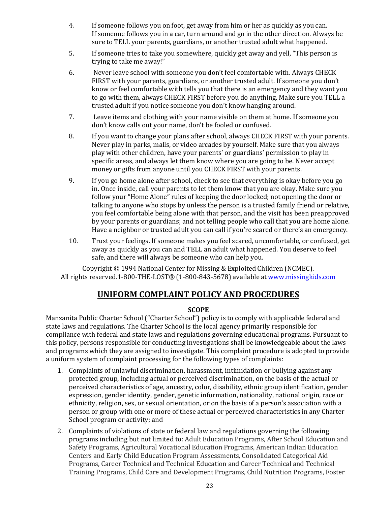- 4. If someone follows you on foot, get away from him or her as quickly as you can. If someone follows you in a car, turn around and go in the other direction. Always be sure to TELL your parents, guardians, or another trusted adult what happened.
- 5. If someone tries to take you somewhere, quickly get away and yell, "This person is trying to take me away!"
- 6. Never leave school with someone you don't feel comfortable with. Always CHECK FIRST with your parents, guardians, or another trusted adult. If someone you don't know or feel comfortable with tells you that there is an emergency and they want you to go with them, always CHECK FIRST before you do anything. Make sure you TELL a trusted adult if you notice someone you don't know hanging around.
- 7. Leave items and clothing with your name visible on them at home. If someone you don't know calls out your name, don't be fooled or confused.
- 8. If you want to change your plans after school, always CHECK FIRST with your parents. Never play in parks, malls, or video arcades by yourself. Make sure that you always play with other children, have your parents' or guardians' permission to play in specific areas, and always let them know where you are going to be. Never accept money or gifts from anyone until you CHECK FIRST with your parents.
- 9. If you go home alone after school, check to see that everything is okay before you go in. Once inside, call your parents to let them know that you are okay. Make sure you follow your "Home Alone" rules of keeping the door locked; not opening the door or talking to anyone who stops by unless the person is a trusted family friend or relative, you feel comfortable being alone with that person, and the visit has been preapproved by your parents or guardians; and not telling people who call that you are home alone. Have a neighbor or trusted adult you can call if you're scared or there's an emergency.
- 10. Trust your feelings. If someone makes you feel scared, uncomfortable, or confused, get away as quickly as you can and TELL an adult what happened. You deserve to feel safe, and there will always be someone who can help you.

Copyright © 1994 National Center for Missing & Exploited Children (NCMEC). All rights reserved.1-800-THE-LOST® (1-800-843-5678) available at [www.missingkids.com](http://www.missingkids.com/)

## **UNIFORM COMPLAINT POLICY AND PROCEDURES**

#### **SCOPE**

<span id="page-23-1"></span><span id="page-23-0"></span>Manzanita Public Charter School ("Charter School") policy is to comply with applicable federal and state laws and regulations. The Charter School is the local agency primarily responsible for compliance with federal and state laws and regulations governing educational programs. Pursuant to this policy, persons responsible for conducting investigations shall be knowledgeable about the laws and programs which they are assigned to investigate. This complaint procedure is adopted to provide a uniform system of complaint processing for the following types of complaints:

- 1. Complaints of unlawful discrimination, harassment, intimidation or bullying against any protected group, including actual or perceived discrimination, on the basis of the actual or perceived characteristics of age, ancestry, color, disability, ethnic group identification, gender expression, gender identity, gender, genetic information, nationality, national origin, race or ethnicity, religion, sex, or sexual orientation, or on the basis of a person's association with a person or group with one or more of these actual or perceived characteristics in any Charter School program or activity; and
- 2. Complaints of violations of state or federal law and regulations governing the following programs including but not limited to: Adult Education Programs, After School Education and Safety Programs, Agricultural Vocational Education Programs, American Indian Education Centers and Early Child Education Program Assessments, Consolidated Categorical Aid Programs, Career Technical and Technical Education and Career Technical and Technical Training Programs, Child Care and Development Programs, Child Nutrition Programs, Foster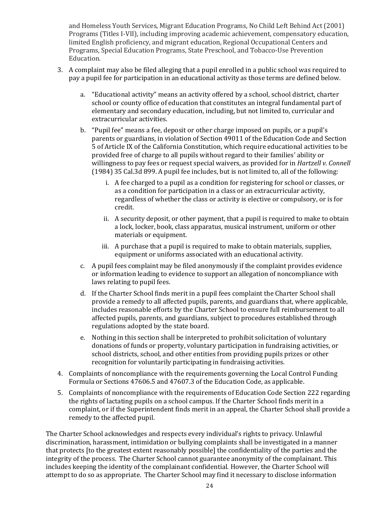and Homeless Youth Services, Migrant Education Programs, No Child Left Behind Act (2001) Programs (Titles I-VII), including improving academic achievement, compensatory education, limited English proficiency, and migrant education, Regional Occupational Centers and Programs, Special Education Programs, State Preschool, and Tobacco-Use Prevention Education.

- 3. A complaint may also be filed alleging that a pupil enrolled in a public school was required to pay a pupil fee for participation in an educational activity as those terms are defined below.
	- a. "Educational activity" means an activity offered by a school, school district, charter school or county office of education that constitutes an integral fundamental part of elementary and secondary education, including, but not limited to, curricular and extracurricular activities.
	- b. "Pupil fee" means a fee, deposit or other charge imposed on pupils, or a pupil's parents or guardians, in violation of Section 49011 of the Education Code and Section 5 of Article IX of the California Constitution, which require educational activities to be provided free of charge to all pupils without regard to their families' ability or willingness to pay fees or request special waivers, as provided for in *Hartzell v. Connell* (1984) 35 Cal.3d 899. A pupil fee includes, but is not limited to, all of the following:
		- i. A fee charged to a pupil as a condition for registering for school or classes, or as a condition for participation in a class or an extracurricular activity, regardless of whether the class or activity is elective or compulsory, or is for credit.
		- ii. A security deposit, or other payment, that a pupil is required to make to obtain a lock, locker, book, class apparatus, musical instrument, uniform or other materials or equipment.
		- iii. A purchase that a pupil is required to make to obtain materials, supplies, equipment or uniforms associated with an educational activity.
	- c. A pupil fees complaint may be filed anonymously if the complaint provides evidence or information leading to evidence to support an allegation of noncompliance with laws relating to pupil fees.
	- d. If the Charter School finds merit in a pupil fees complaint the Charter School shall provide a remedy to all affected pupils, parents, and guardians that, where applicable, includes reasonable efforts by the Charter School to ensure full reimbursement to all affected pupils, parents, and guardians, subject to procedures established through regulations adopted by the state board.
	- e. Nothing in this section shall be interpreted to prohibit solicitation of voluntary donations of funds or property, voluntary participation in fundraising activities, or school districts, school, and other entities from providing pupils prizes or other recognition for voluntarily participating in fundraising activities.
- 4. Complaints of noncompliance with the requirements governing the Local Control Funding Formula or Sections 47606.5 and 47607.3 of the Education Code, as applicable.
- 5. Complaints of noncompliance with the requirements of Education Code Section 222 regarding the rights of lactating pupils on a school campus. If the Charter School finds merit in a complaint, or if the Superintendent finds merit in an appeal, the Charter School shall provide a remedy to the affected pupil.

The Charter School acknowledges and respects every individual's rights to privacy. Unlawful discrimination, harassment, intimidation or bullying complaints shall be investigated in a manner that protects [to the greatest extent reasonably possible] the confidentiality of the parties and the integrity of the process. The Charter School cannot guarantee anonymity of the complainant. This includes keeping the identity of the complainant confidential. However, the Charter School will attempt to do so as appropriate. The Charter School may find it necessary to disclose information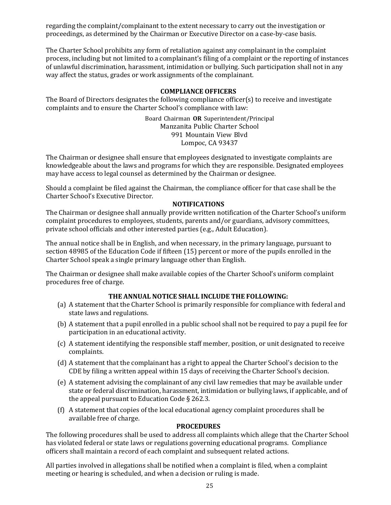regarding the complaint/complainant to the extent necessary to carry out the investigation or proceedings, as determined by the Chairman or Executive Director on a case-by-case basis.

The Charter School prohibits any form of retaliation against any complainant in the complaint process, including but not limited to a complainant's filing of a complaint or the reporting of instances of unlawful discrimination, harassment, intimidation or bullying. Such participation shall not in any way affect the status, grades or work assignments of the complainant.

#### **COMPLIANCE OFFICERS**

<span id="page-25-0"></span>The Board of Directors designates the following compliance officer(s) to receive and investigate complaints and to ensure the Charter School's compliance with law:

> Board Chairman **OR** Superintendent/Principal Manzanita Public Charter School 991 Mountain View Blvd Lompoc, CA 93437

The Chairman or designee shall ensure that employees designated to investigate complaints are knowledgeable about the laws and programs for which they are responsible. Designated employees may have access to legal counsel as determined by the Chairman or designee.

Should a complaint be filed against the Chairman, the compliance officer for that case shall be the Charter School's Executive Director.

#### **NOTIFICATIONS**

<span id="page-25-1"></span>The Chairman or designee shall annually provide written notification of the Charter School's uniform complaint procedures to employees, students, parents and/or guardians, advisory committees, private school officials and other interested parties (e.g., Adult Education).

The annual notice shall be in English, and when necessary, in the primary language, pursuant to section 48985 of the Education Code if fifteen (15) percent or more of the pupils enrolled in the Charter School speak a single primary language other than English.

The Chairman or designee shall make available copies of the Charter School's uniform complaint procedures free of charge.

#### **THE ANNUAL NOTICE SHALL INCLUDE THE FOLLOWING:**

- (a) A statement that the Charter School is primarily responsible for compliance with federal and state laws and regulations.
- (b) A statement that a pupil enrolled in a public school shall not be required to pay a pupil fee for participation in an educational activity.
- (c) A statement identifying the responsible staff member, position, or unit designated to receive complaints.
- (d) A statement that the complainant has a right to appeal the Charter School's decision to the CDE by filing a written appeal within 15 days of receiving the Charter School's decision.
- (e) A statement advising the complainant of any civil law remedies that may be available under state or federal discrimination, harassment, intimidation or bullying laws, if applicable, and of the appeal pursuant to Education Code § 262.3.
- (f) A statement that copies of the local educational agency complaint procedures shall be available free of charge.

#### **PROCEDURES**

<span id="page-25-2"></span>The following procedures shall be used to address all complaints which allege that the Charter School has violated federal or state laws or regulations governing educational programs. Compliance officers shall maintain a record of each complaint and subsequent related actions.

All parties involved in allegations shall be notified when a complaint is filed, when a complaint meeting or hearing is scheduled, and when a decision or ruling is made.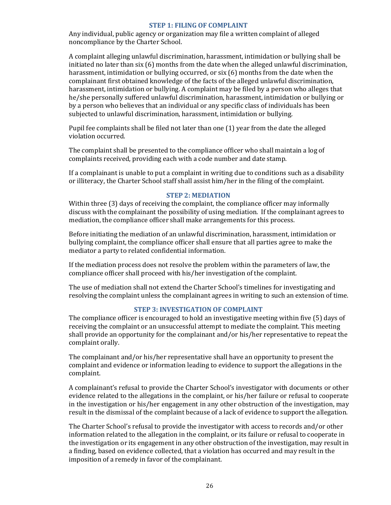#### **STEP 1: FILING OF COMPLAINT**

Any individual, public agency or organization may file a written complaint of alleged noncompliance by the Charter School.

A complaint alleging unlawful discrimination, harassment, intimidation or bullying shall be initiated no later than six (6) months from the date when the alleged unlawful discrimination, harassment, intimidation or bullying occurred, or six (6) months from the date when the complainant first obtained knowledge of the facts of the alleged unlawful discrimination, harassment, intimidation or bullying. A complaint may be filed by a person who alleges that he/she personally suffered unlawful discrimination, harassment, intimidation or bullying or by a person who believes that an individual or any specific class of individuals has been subjected to unlawful discrimination, harassment, intimidation or bullying.

Pupil fee complaints shall be filed not later than one (1) year from the date the alleged violation occurred.

The complaint shall be presented to the compliance officer who shall maintain a log of complaints received, providing each with a code number and date stamp.

If a complainant is unable to put a complaint in writing due to conditions such as a disability or illiteracy, the Charter School staff shall assist him/her in the filing of the complaint.

#### **STEP 2: MEDIATION**

Within three (3) days of receiving the complaint, the compliance officer may informally discuss with the complainant the possibility of using mediation. If the complainant agrees to mediation, the compliance officer shall make arrangements for this process.

Before initiating the mediation of an unlawful discrimination, harassment, intimidation or bullying complaint, the compliance officer shall ensure that all parties agree to make the mediator a party to related confidential information.

If the mediation process does not resolve the problem within the parameters of law, the compliance officer shall proceed with his/her investigation of the complaint.

The use of mediation shall not extend the Charter School's timelines for investigating and resolving the complaint unless the complainant agrees in writing to such an extension of time.

#### **STEP 3: INVESTIGATION OF COMPLAINT**

The compliance officer is encouraged to hold an investigative meeting within five (5) days of receiving the complaint or an unsuccessful attempt to mediate the complaint. This meeting shall provide an opportunity for the complainant and/or his/her representative to repeat the complaint orally.

The complainant and/or his/her representative shall have an opportunity to present the complaint and evidence or information leading to evidence to support the allegations in the complaint.

A complainant's refusal to provide the Charter School's investigator with documents or other evidence related to the allegations in the complaint, or his/her failure or refusal to cooperate in the investigation or his/her engagement in any other obstruction of the investigation, may result in the dismissal of the complaint because of a lack of evidence to support the allegation.

The Charter School's refusal to provide the investigator with access to records and/or other information related to the allegation in the complaint, or its failure or refusal to cooperate in the investigation or its engagement in any other obstruction of the investigation, may result in a finding, based on evidence collected, that a violation has occurred and may result in the imposition of a remedy in favor of the complainant.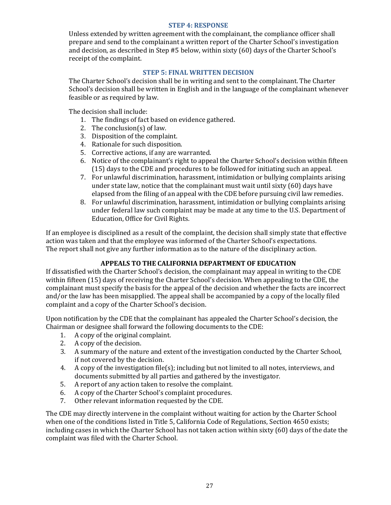#### **STEP 4: RESPONSE**

Unless extended by written agreement with the complainant, the compliance officer shall prepare and send to the complainant a written report of the Charter School's investigation and decision, as described in Step #5 below, within sixty (60) days of the Charter School's receipt of the complaint.

#### **STEP 5: FINAL WRITTEN DECISION**

The Charter School's decision shall be in writing and sent to the complainant. The Charter School's decision shall be written in English and in the language of the complainant whenever feasible or as required by law.

The decision shall include:

- 1. The findings of fact based on evidence gathered.
- 2. The conclusion(s) of law.
- 3. Disposition of the complaint.
- 4. Rationale for such disposition.
- 5. Corrective actions, if any are warranted.
- 6. Notice of the complainant's right to appeal the Charter School's decision within fifteen (15) days to the CDE and procedures to be followed for initiating such an appeal.
- 7. For unlawful discrimination, harassment, intimidation or bullying complaints arising under state law, notice that the complainant must wait until sixty (60) days have elapsed from the filing of an appeal with the CDE before pursuing civil law remedies.
- 8. For unlawful discrimination, harassment, intimidation or bullying complaints arising under federal law such complaint may be made at any time to the U.S. Department of Education, Office for Civil Rights.

If an employee is disciplined as a result of the complaint, the decision shall simply state that effective action was taken and that the employee was informed of the Charter School's expectations. The report shall not give any further information as to the nature of the disciplinary action.

#### **APPEALS TO THE CALIFORNIA DEPARTMENT OF EDUCATION**

<span id="page-27-0"></span>If dissatisfied with the Charter School's decision, the complainant may appeal in writing to the CDE within fifteen (15) days of receiving the Charter School's decision. When appealing to the CDE, the complainant must specify the basis for the appeal of the decision and whether the facts are incorrect and/or the law has been misapplied. The appeal shall be accompanied by a copy of the locally filed complaint and a copy of the Charter School's decision.

Upon notification by the CDE that the complainant has appealed the Charter School's decision, the Chairman or designee shall forward the following documents to the CDE:

- 1. A copy of the original complaint.
- 2. A copy of the decision.
- 3. A summary of the nature and extent of the investigation conducted by the Charter School, if not covered by the decision.
- 4. A copy of the investigation file(s); including but not limited to all notes, interviews, and documents submitted by all parties and gathered by the investigator.
- 5. A report of any action taken to resolve the complaint.
- 6. A copy of the Charter School's complaint procedures.
- 7. Other relevant information requested by the CDE.

The CDE may directly intervene in the complaint without waiting for action by the Charter School when one of the conditions listed in Title 5, California Code of Regulations, Section 4650 exists; including cases in which the Charter School has not taken action within sixty (60) days of the date the complaint was filed with the Charter School.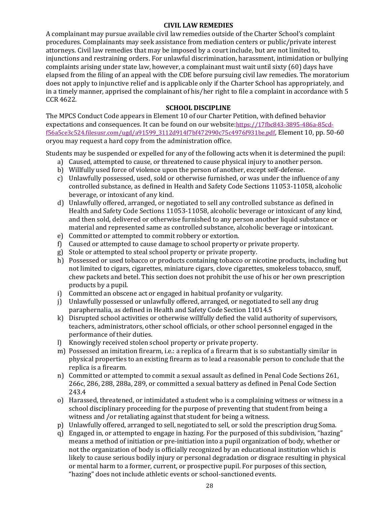#### **CIVIL LAW REMEDIES**

<span id="page-28-0"></span>A complainant may pursue available civil law remedies outside of the Charter School's complaint procedures. Complainants may seek assistance from mediation centers or public/private interest attorneys. Civil law remedies that may be imposed by a court include, but are not limited to, injunctions and restraining orders. For unlawful discrimination, harassment, intimidation or bullying complaints arising under state law, however, a complainant must wait until sixty (60) days have elapsed from the filing of an appeal with the CDE before pursuing civil law remedies. The moratorium does not apply to injunctive relief and is applicable only if the Charter School has appropriately, and in a timely manner, apprised the complainant of his/her right to file a complaint in accordance with 5 CCR 4622.

#### **SCHOOL DISCIPLINE**

<span id="page-28-1"></span>The MPCS Conduct Code appears in Element 10 of our Charter Petition, with defined behavior expectations and consequences. It can be found on our website:[https://17fbc843-3895-486a-85cd](https://17fbc843-3895-486a-85cd-f56a5ce3c524.filesusr.com/ugd/a91599_3112d914f7bf472990c75c4976f931be.pdf)[f56a5ce3c524.filesusr.com/ugd/a91599\\_3112d914f7bf472990c75c4976f931be.pdf](https://17fbc843-3895-486a-85cd-f56a5ce3c524.filesusr.com/ugd/a91599_3112d914f7bf472990c75c4976f931be.pdf), Element 10, pp. 50-60 oryou may request a hard copy from the administration office.

Students may be suspended or expelled for any of the following acts when it is determined the pupil:

- a) Caused, attempted to cause, or threatened to cause physical injury to another person.
- b) Willfully used force of violence upon the person of another, except self-defense.
- c) Unlawfully possessed, used, sold or otherwise furnished, or was under the influence of any controlled substance, as defined in Health and Safety Code Sections 11053-11058, alcoholic beverage, or intoxicant of any kind.
- d) Unlawfully offered, arranged, or negotiated to sell any controlled substance as defined in Health and Safety Code Sections 11053-11058, alcoholic beverage or intoxicant of any kind, and then sold, delivered or otherwise furnished to any person another liquid substance or material and represented same as controlled substance, alcoholic beverage or intoxicant.
- e) Committed or attempted to commit robbery or extortion.
- f) Caused or attempted to cause damage to school property or private property.
- g) Stole or attempted to steal school property or private property.
- h) Possessed or used tobacco or products containing tobacco or nicotine products, including but not limited to cigars, cigarettes, miniature cigars, clove cigarettes, smokeless tobacco, snuff, chew packets and betel. This section does not prohibit the use of his or her own prescription products by a pupil.
- i) Committed an obscene act or engaged in habitual profanity or vulgarity.
- j) Unlawfully possessed or unlawfully offered, arranged, or negotiated to sell any drug paraphernalia, as defined in Health and Safety Code Section 11014.5
- k) Disrupted school activities or otherwise willfully defied the valid authority of supervisors, teachers, administrators, other school officials, or other school personnel engaged in the performance of their duties.
- l) Knowingly received stolen school property or private property.
- m) Possessed an imitation firearm, i.e.: a replica of a firearm that is so substantially similar in physical properties to an existing firearm as to lead a reasonable person to conclude that the replica is a firearm.
- n) Committed or attempted to commit a sexual assault as defined in Penal Code Sections 261, 266c, 286, 288, 288a, 289, or committed a sexual battery as defined in Penal Code Section 243.4
- o) Harassed, threatened, or intimidated a student who is a complaining witness or witness in a school disciplinary proceeding for the purpose of preventing that student from being a witness and /or retaliating against that student for being a witness.
- p) Unlawfully offered, arranged to sell, negotiated to sell, or sold the prescription drug Soma.
- q) Engaged in, or attempted to engage in hazing. For the purposed of this subdivision, "hazing" means a method of initiation or pre-initiation into a pupil organization of body, whether or not the organization of body is officially recognized by an educational institution which is likely to cause serious bodily injury or personal degradation or disgrace resulting in physical or mental harm to a former, current, or prospective pupil. For purposes of this section, "hazing" does not include athletic events or school-sanctioned events.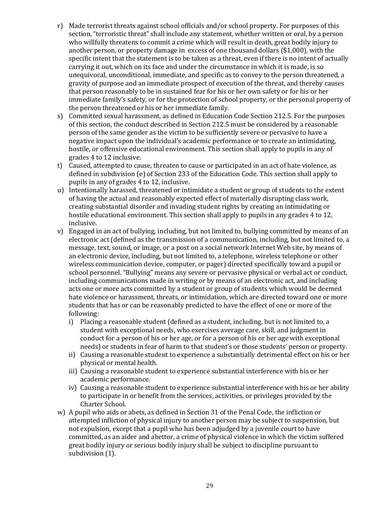- r) Made terrorist threats against school officials and/or school property. For purposes of this section, "terroristic threat" shall include any statement, whether written or oral, by a person who willfully threatens to commit a crime which will result in death, great bodily injury to another person, or property damage in excess of one thousand dollars (\$1,000), with the specific intent that the statement is to be taken as a threat, even if there is no intent of actually carrying it out, which on its face and under the circumstance in which it is made, is so unequivocal, unconditional, immediate, and specific as to convey to the person threatened, a gravity of purpose and an immediate prospect of execution of the threat, and thereby causes that person reasonably to be in sustained fear for his or her own safety or for his or her immediate family's safety, or for the protection of school property, or the personal property of the person threatened or his or her immediate family.
- s) Committed sexual harassment, as defined in Education Code Section 212.5. For the purposes of this section, the conduct described in Section 212.5 must be considered by a reasonable person of the same gender as the victim to be sufficiently severe or pervasive to have a negative impact upon the individual's academic performance or to create an intimidating, hostile, or offensive educational environment. This section shall apply to pupils in any of grades 4 to 12 inclusive.
- t) Caused, attempted to cause, threaten to cause or participated in an act of hate violence, as defined in subdivision (e) of Section 233 of the Education Code. This section shall apply to pupils in any of grades 4 to 12, inclusive.
- u) Intentionally harassed, threatened or intimidate a student or group of students to the extent of having the actual and reasonably expected effect of materially disrupting class work, creating substantial disorder and invading student rights by creating an intimidating or hostile educational environment. This section shall apply to pupils in any grades 4 to 12, inclusive.
- v) Engaged in an act of bullying, including, but not limited to, bullying committed by means of an electronic act (defined as the transmission of a communication, including, but not limited to, a message, text, sound, or image, or a post on a social network Internet Web site, by means of an electronic device, including, but not limited to, a telephone, wireless telephone or other wireless communication device, computer, or pager) directed specifically toward a pupil or school personnel. "Bullying" means any severe or pervasive physical or verbal act or conduct, including communications made in writing or by means of an electronic act, and including acts one or more acts committed by a student or group of students which would be deemed hate violence or harassment, threats, or intimidation, which are directed toward one or more students that has or can be reasonably predicted to have the effect of one or more of the following:
	- i) Placing a reasonable student (defined as a student, including, but is not limited to, a student with exceptional needs, who exercises average care, skill, and judgment in conduct for a person of his or her age, or for a person of his or her age with exceptional needs) or students in fear of harm to that student's or those students' person or property.
	- ii) Causing a reasonable student to experience a substantially detrimental effect on his or her physical or mental health.
	- iii) Causing a reasonable student to experience substantial interference with his or her academic performance.
	- iv) Causing a reasonable student to experience substantial interference with his or her ability to participate in or benefit from the services, activities, or privileges provided by the Charter School.
- w) A pupil who aids or abets, as defined in Section 31 of the Penal Code, the infliction or attempted infliction of physical injury to another person may be subject to suspension, but not expulsion, except that a pupil who has been adjudged by a juvenile court to have committed, as an aider and abettor, a crime of physical violence in which the victim suffered great bodily injury or serious bodily injury shall be subject to discipline pursuant to subdivision (1).